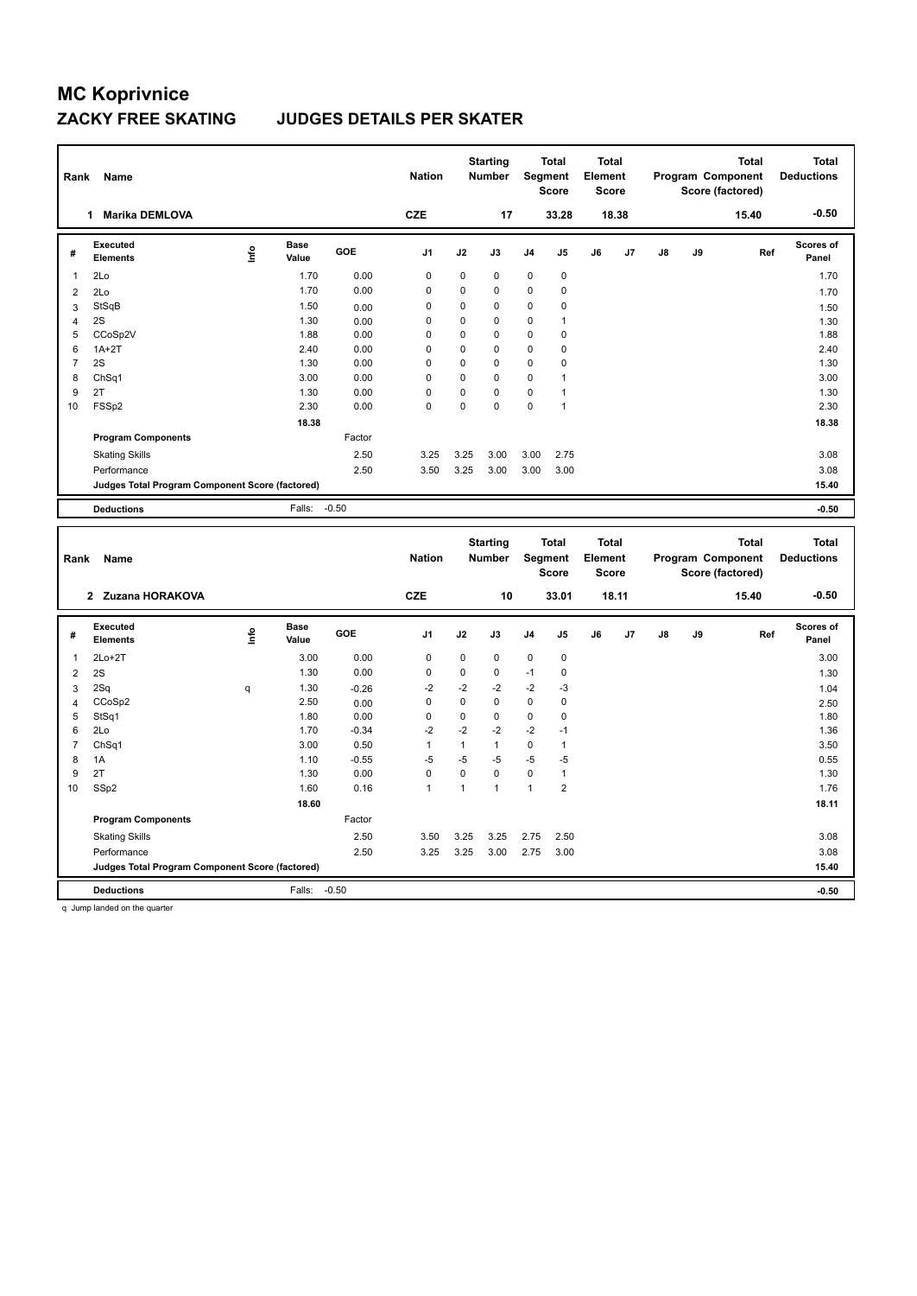#### **ZACKY FREE SKATING JUDGES DETAILS PER SKATER**

| <b>CZE</b><br>18.38<br><b>Marika DEMLOVA</b><br>17<br>33.28<br>15.40<br>1.<br>Executed<br><b>Base</b><br>١nf٥<br>GOE<br>J <sub>1</sub><br>J2<br>J5<br>J6<br>J3<br>J <sub>4</sub><br>J7<br>$\mathsf{J}8$<br>J9<br>Ref<br>#<br><b>Elements</b><br>Value<br>$\mathbf 0$<br>2Lo<br>1.70<br>0.00<br>$\Omega$<br>$\mathbf 0$<br>0<br>0<br>1<br>$\Omega$<br>1.70<br>0.00<br>$\Omega$<br>$\Omega$<br>0<br>0<br>2Lo<br>2<br>StSqB<br>1.50<br>$\mathbf 0$<br>$\Omega$<br>$\Omega$<br>0<br>0<br>3<br>0.00<br>2S<br>$\mathbf 0$<br>1.30<br>$\Omega$<br>0<br>$\Omega$<br>1<br>0.00<br>4<br>$\mathbf 0$<br>CCoSp2V<br>0.00<br>$\mathbf 0$<br>0<br>1.88<br>0<br>0<br>5<br>$\mathbf 0$<br>$1A+2T$<br>0.00<br>0<br>6<br>2.40<br>$\Omega$<br>$\Omega$<br>0<br>2S<br>$\mathbf 0$<br>1.30<br>0.00<br>$\overline{7}$<br>$\Omega$<br>$\Omega$<br>0<br>$\Omega$<br>ChSq1<br>$\mathbf 0$<br>3.00<br>0.00<br>$\Omega$<br>$\Omega$<br>0<br>8<br>1<br>2T<br>$\mathbf 0$<br>1.30<br>0.00<br>$\mathbf 0$<br>0<br>9<br>$\Omega$<br>1<br>FSSp2<br>2.30<br>0.00<br>0<br>0<br>0<br>10<br>0<br>1<br>18.38<br><b>Program Components</b><br>Factor<br>2.50<br>3.25<br>3.25<br>3.00<br>2.75<br><b>Skating Skills</b><br>3.00<br>2.50<br>3.25<br>Performance<br>3.50<br>3.00<br>3.00<br>3.00<br>Judges Total Program Component Score (factored) | <b>Total</b><br><b>Deductions</b> | <b>Total</b> | Program Component<br>Score (factored) |  | <b>Total</b><br>Element<br>Score | <b>Total</b><br><b>Score</b> | Segment | <b>Starting</b><br><b>Number</b> | <b>Nation</b> |  |  | Name | Rank |
|-----------------------------------------------------------------------------------------------------------------------------------------------------------------------------------------------------------------------------------------------------------------------------------------------------------------------------------------------------------------------------------------------------------------------------------------------------------------------------------------------------------------------------------------------------------------------------------------------------------------------------------------------------------------------------------------------------------------------------------------------------------------------------------------------------------------------------------------------------------------------------------------------------------------------------------------------------------------------------------------------------------------------------------------------------------------------------------------------------------------------------------------------------------------------------------------------------------------------------------------------------------------------------------------------------------|-----------------------------------|--------------|---------------------------------------|--|----------------------------------|------------------------------|---------|----------------------------------|---------------|--|--|------|------|
|                                                                                                                                                                                                                                                                                                                                                                                                                                                                                                                                                                                                                                                                                                                                                                                                                                                                                                                                                                                                                                                                                                                                                                                                                                                                                                           | $-0.50$                           |              |                                       |  |                                  |                              |         |                                  |               |  |  |      |      |
|                                                                                                                                                                                                                                                                                                                                                                                                                                                                                                                                                                                                                                                                                                                                                                                                                                                                                                                                                                                                                                                                                                                                                                                                                                                                                                           | <b>Scores of</b><br>Panel         |              |                                       |  |                                  |                              |         |                                  |               |  |  |      |      |
|                                                                                                                                                                                                                                                                                                                                                                                                                                                                                                                                                                                                                                                                                                                                                                                                                                                                                                                                                                                                                                                                                                                                                                                                                                                                                                           | 1.70                              |              |                                       |  |                                  |                              |         |                                  |               |  |  |      |      |
|                                                                                                                                                                                                                                                                                                                                                                                                                                                                                                                                                                                                                                                                                                                                                                                                                                                                                                                                                                                                                                                                                                                                                                                                                                                                                                           | 1.70                              |              |                                       |  |                                  |                              |         |                                  |               |  |  |      |      |
|                                                                                                                                                                                                                                                                                                                                                                                                                                                                                                                                                                                                                                                                                                                                                                                                                                                                                                                                                                                                                                                                                                                                                                                                                                                                                                           | 1.50                              |              |                                       |  |                                  |                              |         |                                  |               |  |  |      |      |
|                                                                                                                                                                                                                                                                                                                                                                                                                                                                                                                                                                                                                                                                                                                                                                                                                                                                                                                                                                                                                                                                                                                                                                                                                                                                                                           | 1.30                              |              |                                       |  |                                  |                              |         |                                  |               |  |  |      |      |
|                                                                                                                                                                                                                                                                                                                                                                                                                                                                                                                                                                                                                                                                                                                                                                                                                                                                                                                                                                                                                                                                                                                                                                                                                                                                                                           | 1.88                              |              |                                       |  |                                  |                              |         |                                  |               |  |  |      |      |
|                                                                                                                                                                                                                                                                                                                                                                                                                                                                                                                                                                                                                                                                                                                                                                                                                                                                                                                                                                                                                                                                                                                                                                                                                                                                                                           | 2.40                              |              |                                       |  |                                  |                              |         |                                  |               |  |  |      |      |
|                                                                                                                                                                                                                                                                                                                                                                                                                                                                                                                                                                                                                                                                                                                                                                                                                                                                                                                                                                                                                                                                                                                                                                                                                                                                                                           | 1.30                              |              |                                       |  |                                  |                              |         |                                  |               |  |  |      |      |
|                                                                                                                                                                                                                                                                                                                                                                                                                                                                                                                                                                                                                                                                                                                                                                                                                                                                                                                                                                                                                                                                                                                                                                                                                                                                                                           | 3.00                              |              |                                       |  |                                  |                              |         |                                  |               |  |  |      |      |
|                                                                                                                                                                                                                                                                                                                                                                                                                                                                                                                                                                                                                                                                                                                                                                                                                                                                                                                                                                                                                                                                                                                                                                                                                                                                                                           | 1.30                              |              |                                       |  |                                  |                              |         |                                  |               |  |  |      |      |
|                                                                                                                                                                                                                                                                                                                                                                                                                                                                                                                                                                                                                                                                                                                                                                                                                                                                                                                                                                                                                                                                                                                                                                                                                                                                                                           | 2.30                              |              |                                       |  |                                  |                              |         |                                  |               |  |  |      |      |
|                                                                                                                                                                                                                                                                                                                                                                                                                                                                                                                                                                                                                                                                                                                                                                                                                                                                                                                                                                                                                                                                                                                                                                                                                                                                                                           | 18.38                             |              |                                       |  |                                  |                              |         |                                  |               |  |  |      |      |
|                                                                                                                                                                                                                                                                                                                                                                                                                                                                                                                                                                                                                                                                                                                                                                                                                                                                                                                                                                                                                                                                                                                                                                                                                                                                                                           |                                   |              |                                       |  |                                  |                              |         |                                  |               |  |  |      |      |
|                                                                                                                                                                                                                                                                                                                                                                                                                                                                                                                                                                                                                                                                                                                                                                                                                                                                                                                                                                                                                                                                                                                                                                                                                                                                                                           | 3.08                              |              |                                       |  |                                  |                              |         |                                  |               |  |  |      |      |
|                                                                                                                                                                                                                                                                                                                                                                                                                                                                                                                                                                                                                                                                                                                                                                                                                                                                                                                                                                                                                                                                                                                                                                                                                                                                                                           | 3.08                              |              |                                       |  |                                  |                              |         |                                  |               |  |  |      |      |
|                                                                                                                                                                                                                                                                                                                                                                                                                                                                                                                                                                                                                                                                                                                                                                                                                                                                                                                                                                                                                                                                                                                                                                                                                                                                                                           | 15.40                             |              |                                       |  |                                  |                              |         |                                  |               |  |  |      |      |
| $-0.50$<br><b>Deductions</b><br>Falls:                                                                                                                                                                                                                                                                                                                                                                                                                                                                                                                                                                                                                                                                                                                                                                                                                                                                                                                                                                                                                                                                                                                                                                                                                                                                    | $-0.50$                           |              |                                       |  |                                  |                              |         |                                  |               |  |  |      |      |

| Rank           | Name                                             |            |                      |            | <b>Nation</b>  |      | <b>Starting</b><br><b>Number</b> | Segment        | <b>Total</b><br><b>Score</b> | <b>Total</b><br>Element<br><b>Score</b> |       |               |    | <b>Total</b><br>Program Component<br>Score (factored) | <b>Total</b><br><b>Deductions</b> |
|----------------|--------------------------------------------------|------------|----------------------|------------|----------------|------|----------------------------------|----------------|------------------------------|-----------------------------------------|-------|---------------|----|-------------------------------------------------------|-----------------------------------|
|                | 2 Zuzana HORAKOVA                                |            |                      |            | <b>CZE</b>     |      | 10                               |                | 33.01                        |                                         | 18.11 |               |    | 15.40                                                 | $-0.50$                           |
| #              | Executed<br><b>Elements</b>                      | <b>Lin</b> | <b>Base</b><br>Value | <b>GOE</b> | J <sub>1</sub> | J2   | J3                               | J <sub>4</sub> | J <sub>5</sub>               | J6                                      | J7    | $\mathsf{J}8$ | J9 | Ref                                                   | Scores of<br>Panel                |
| 1              | $2Lo+2T$                                         |            | 3.00                 | 0.00       | 0              | 0    | $\mathbf 0$                      | $\mathbf 0$    | $\mathbf 0$                  |                                         |       |               |    |                                                       | 3.00                              |
| $\overline{2}$ | 2S                                               |            | 1.30                 | 0.00       | 0              | 0    | $\mathbf 0$                      | $-1$           | $\mathbf 0$                  |                                         |       |               |    |                                                       | 1.30                              |
| 3              | 2Sq                                              | q          | 1.30                 | $-0.26$    | $-2$           | $-2$ | $-2$                             | $-2$           | $-3$                         |                                         |       |               |    |                                                       | 1.04                              |
| $\overline{4}$ | CCoSp2                                           |            | 2.50                 | 0.00       | 0              | 0    | $\mathbf 0$                      | $\mathbf 0$    | 0                            |                                         |       |               |    |                                                       | 2.50                              |
| 5              | StSq1                                            |            | 1.80                 | 0.00       | 0              | 0    | 0                                | $\mathbf 0$    | 0                            |                                         |       |               |    |                                                       | 1.80                              |
| 6              | 2Lo                                              |            | 1.70                 | $-0.34$    | $-2$           | $-2$ | $-2$                             | $-2$           | $-1$                         |                                         |       |               |    |                                                       | 1.36                              |
| $\overline{7}$ | ChSq1                                            |            | 3.00                 | 0.50       | 1              | 1    | $\mathbf{1}$                     | $\mathbf 0$    | $\overline{1}$               |                                         |       |               |    |                                                       | 3.50                              |
| 8              | 1A                                               |            | 1.10                 | $-0.55$    | $-5$           | $-5$ | $-5$                             | $-5$           | -5                           |                                         |       |               |    |                                                       | 0.55                              |
| 9              | 2T                                               |            | 1.30                 | 0.00       | 0              | 0    | $\mathbf 0$                      | $\mathbf 0$    | $\mathbf{1}$                 |                                         |       |               |    |                                                       | 1.30                              |
| 10             | SSp2                                             |            | 1.60                 | 0.16       | 1              | 1    | $\mathbf{1}$                     | 1              | $\overline{2}$               |                                         |       |               |    |                                                       | 1.76                              |
|                |                                                  |            | 18.60                |            |                |      |                                  |                |                              |                                         |       |               |    |                                                       | 18.11                             |
|                | <b>Program Components</b>                        |            |                      | Factor     |                |      |                                  |                |                              |                                         |       |               |    |                                                       |                                   |
|                | <b>Skating Skills</b>                            |            |                      | 2.50       | 3.50           | 3.25 | 3.25                             | 2.75           | 2.50                         |                                         |       |               |    |                                                       | 3.08                              |
|                | Performance                                      |            |                      | 2.50       | 3.25           | 3.25 | 3.00                             | 2.75           | 3.00                         |                                         |       |               |    |                                                       | 3.08                              |
|                | Judges Total Program Component Score (factored)  |            |                      |            |                |      |                                  |                |                              |                                         |       |               |    |                                                       | 15.40                             |
|                | <b>Deductions</b>                                |            | Falls:               | $-0.50$    |                |      |                                  |                |                              |                                         |       |               |    |                                                       | $-0.50$                           |
|                | the changes there should not also a procedure of |            |                      |            |                |      |                                  |                |                              |                                         |       |               |    |                                                       |                                   |

q Jump landed on the quarter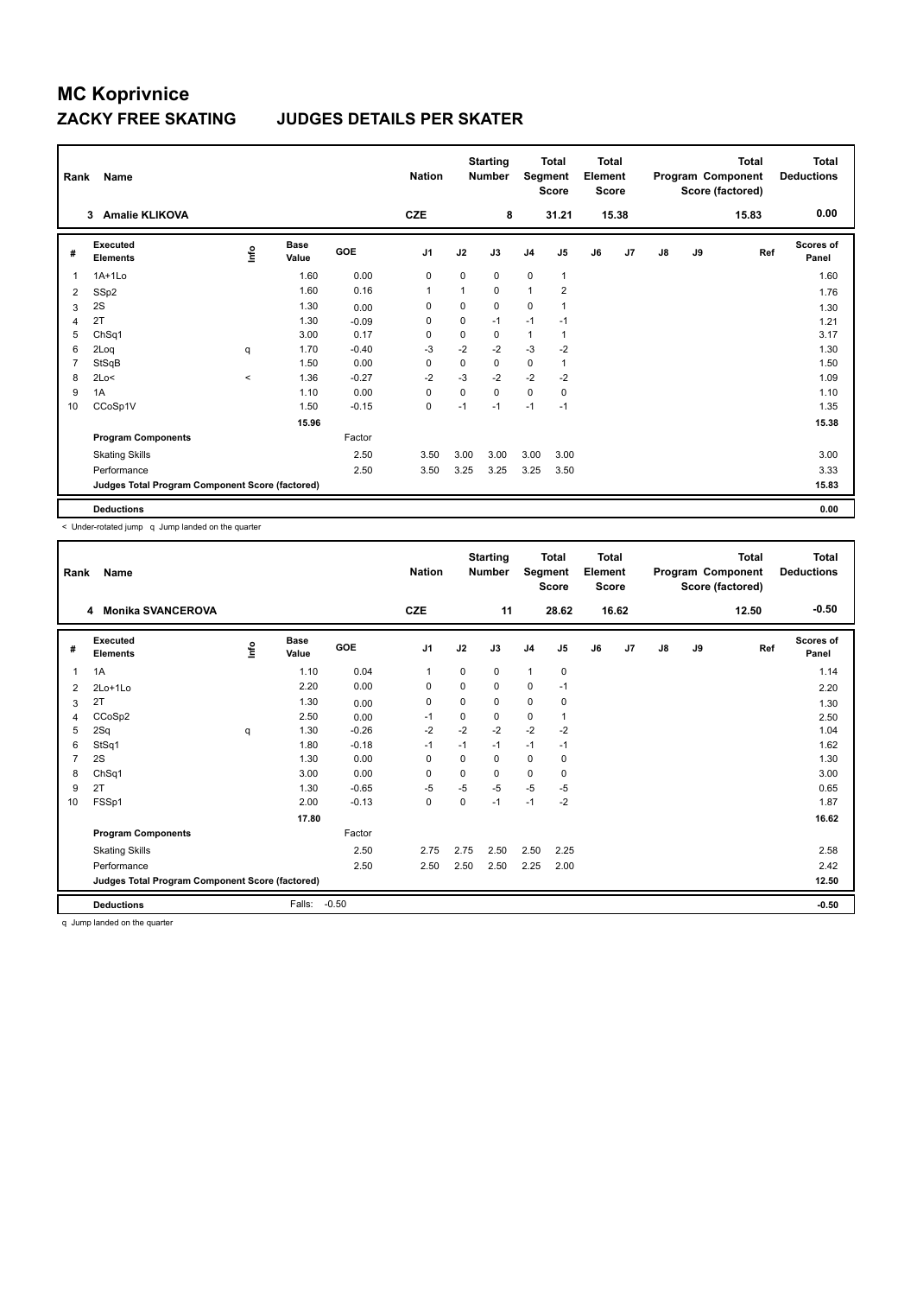### **ZACKY FREE SKATING JUDGES DETAILS PER SKATER**

| Rank           | Name                                            |         |               |         | <b>Nation</b>  |                         | <b>Starting</b><br><b>Number</b> | Segment        | <b>Total</b><br><b>Score</b> | <b>Total</b><br>Element<br><b>Score</b> |       |               |    | Total<br>Program Component<br>Score (factored) | <b>Total</b><br><b>Deductions</b> |
|----------------|-------------------------------------------------|---------|---------------|---------|----------------|-------------------------|----------------------------------|----------------|------------------------------|-----------------------------------------|-------|---------------|----|------------------------------------------------|-----------------------------------|
|                | <b>Amalie KLIKOVA</b><br>3                      |         |               |         | <b>CZE</b>     |                         | 8                                |                | 31.21                        |                                         | 15.38 |               |    | 15.83                                          | 0.00                              |
| #              | Executed<br><b>Elements</b>                     | lnfo    | Base<br>Value | GOE     | J <sub>1</sub> | J2                      | J3                               | J <sub>4</sub> | J5                           | J6                                      | J7    | $\mathsf{J}8$ | J9 | Ref                                            | Scores of<br>Panel                |
| $\mathbf{1}$   | $1A+1Lo$                                        |         | 1.60          | 0.00    | 0              | 0                       | 0                                | $\mathbf 0$    | 1                            |                                         |       |               |    |                                                | 1.60                              |
| 2              | SSp2                                            |         | 1.60          | 0.16    | $\mathbf{1}$   | $\overline{\mathbf{1}}$ | 0                                | $\mathbf{1}$   | $\overline{2}$               |                                         |       |               |    |                                                | 1.76                              |
| 3              | 2S                                              |         | 1.30          | 0.00    | 0              | $\mathbf 0$             | 0                                | $\mathbf 0$    | $\mathbf{1}$                 |                                         |       |               |    |                                                | 1.30                              |
| $\overline{4}$ | 2T                                              |         | 1.30          | $-0.09$ | 0              | 0                       | $-1$                             | $-1$           | $-1$                         |                                         |       |               |    |                                                | 1.21                              |
| 5              | ChSq1                                           |         | 3.00          | 0.17    | 0              | $\mathbf 0$             | 0                                | $\mathbf{1}$   | 1                            |                                         |       |               |    |                                                | 3.17                              |
| 6              | 2Loq                                            | q       | 1.70          | $-0.40$ | -3             | $-2$                    | $-2$                             | $-3$           | $-2$                         |                                         |       |               |    |                                                | 1.30                              |
| $\overline{7}$ | StSqB                                           |         | 1.50          | 0.00    | $\mathbf 0$    | $\mathbf 0$             | 0                                | $\mathbf 0$    | 1                            |                                         |       |               |    |                                                | 1.50                              |
| 8              | 2Lo<                                            | $\prec$ | 1.36          | $-0.27$ | $-2$           | $-3$                    | $-2$                             | $-2$           | $-2$                         |                                         |       |               |    |                                                | 1.09                              |
| 9              | 1A                                              |         | 1.10          | 0.00    | $\mathbf 0$    | $\mathbf 0$             | 0                                | $\mathbf 0$    | $\mathbf 0$                  |                                         |       |               |    |                                                | 1.10                              |
| 10             | CCoSp1V                                         |         | 1.50          | $-0.15$ | $\mathbf 0$    | $-1$                    | $-1$                             | $-1$           | $-1$                         |                                         |       |               |    |                                                | 1.35                              |
|                |                                                 |         | 15.96         |         |                |                         |                                  |                |                              |                                         |       |               |    |                                                | 15.38                             |
|                | <b>Program Components</b>                       |         |               | Factor  |                |                         |                                  |                |                              |                                         |       |               |    |                                                |                                   |
|                | <b>Skating Skills</b>                           |         |               | 2.50    | 3.50           | 3.00                    | 3.00                             | 3.00           | 3.00                         |                                         |       |               |    |                                                | 3.00                              |
|                | Performance                                     |         |               | 2.50    | 3.50           | 3.25                    | 3.25                             | 3.25           | 3.50                         |                                         |       |               |    |                                                | 3.33                              |
|                | Judges Total Program Component Score (factored) |         |               |         |                |                         |                                  |                |                              |                                         |       |               |    |                                                | 15.83                             |
|                | <b>Deductions</b>                               |         |               |         |                |                         |                                  |                |                              |                                         |       |               |    |                                                | 0.00                              |

< Under-rotated jump q Jump landed on the quarter

| Rank           | Name                                            |      |                      |         | <b>Nation</b>  |      | <b>Starting</b><br><b>Number</b> | Segment        | <b>Total</b><br><b>Score</b> | <b>Total</b><br>Element<br><b>Score</b> |       |               |    | <b>Total</b><br>Program Component<br>Score (factored) | <b>Total</b><br><b>Deductions</b> |
|----------------|-------------------------------------------------|------|----------------------|---------|----------------|------|----------------------------------|----------------|------------------------------|-----------------------------------------|-------|---------------|----|-------------------------------------------------------|-----------------------------------|
|                | <b>Monika SVANCEROVA</b><br>4                   |      |                      |         | <b>CZE</b>     |      | 11                               |                | 28.62                        |                                         | 16.62 |               |    | 12.50                                                 | $-0.50$                           |
| #              | Executed<br><b>Elements</b>                     | ١nfo | <b>Base</b><br>Value | GOE     | J <sub>1</sub> | J2   | J3                               | J <sub>4</sub> | J5                           | J6                                      | J7    | $\mathsf{J}8$ | J9 | Ref                                                   | <b>Scores of</b><br>Panel         |
| $\mathbf{1}$   | 1A                                              |      | 1.10                 | 0.04    | 1              | 0    | 0                                | $\mathbf{1}$   | 0                            |                                         |       |               |    |                                                       | 1.14                              |
| 2              | 2Lo+1Lo                                         |      | 2.20                 | 0.00    | $\mathbf 0$    | 0    | 0                                | $\mathbf 0$    | $-1$                         |                                         |       |               |    |                                                       | 2.20                              |
| 3              | 2T                                              |      | 1.30                 | 0.00    | $\mathbf 0$    | 0    | 0                                | 0              | 0                            |                                         |       |               |    |                                                       | 1.30                              |
| 4              | CCoSp2                                          |      | 2.50                 | 0.00    | $-1$           | 0    | 0                                | 0              | 1                            |                                         |       |               |    |                                                       | 2.50                              |
| 5              | 2Sq                                             | q    | 1.30                 | $-0.26$ | $-2$           | $-2$ | $-2$                             | $-2$           | $-2$                         |                                         |       |               |    |                                                       | 1.04                              |
| 6              | StSq1                                           |      | 1.80                 | $-0.18$ | $-1$           | $-1$ | $-1$                             | $-1$           | $-1$                         |                                         |       |               |    |                                                       | 1.62                              |
| $\overline{7}$ | 2S                                              |      | 1.30                 | 0.00    | $\mathbf 0$    | 0    | 0                                | 0              | 0                            |                                         |       |               |    |                                                       | 1.30                              |
| 8              | ChSq1                                           |      | 3.00                 | 0.00    | $\mathbf 0$    | 0    | 0                                | $\mathbf 0$    | 0                            |                                         |       |               |    |                                                       | 3.00                              |
| 9              | 2T                                              |      | 1.30                 | $-0.65$ | $-5$           | $-5$ | $-5$                             | -5             | $-5$                         |                                         |       |               |    |                                                       | 0.65                              |
| 10             | FSSp1                                           |      | 2.00                 | $-0.13$ | 0              | 0    | $-1$                             | $-1$           | $-2$                         |                                         |       |               |    |                                                       | 1.87                              |
|                |                                                 |      | 17.80                |         |                |      |                                  |                |                              |                                         |       |               |    |                                                       | 16.62                             |
|                | <b>Program Components</b>                       |      |                      | Factor  |                |      |                                  |                |                              |                                         |       |               |    |                                                       |                                   |
|                | <b>Skating Skills</b>                           |      |                      | 2.50    | 2.75           | 2.75 | 2.50                             | 2.50           | 2.25                         |                                         |       |               |    |                                                       | 2.58                              |
|                | Performance                                     |      |                      | 2.50    | 2.50           | 2.50 | 2.50                             | 2.25           | 2.00                         |                                         |       |               |    |                                                       | 2.42                              |
|                | Judges Total Program Component Score (factored) |      |                      |         |                |      |                                  |                |                              |                                         |       |               |    |                                                       | 12.50                             |
|                | <b>Deductions</b>                               |      | Falls:               | $-0.50$ |                |      |                                  |                |                              |                                         |       |               |    |                                                       | $-0.50$                           |

q Jump landed on the quarter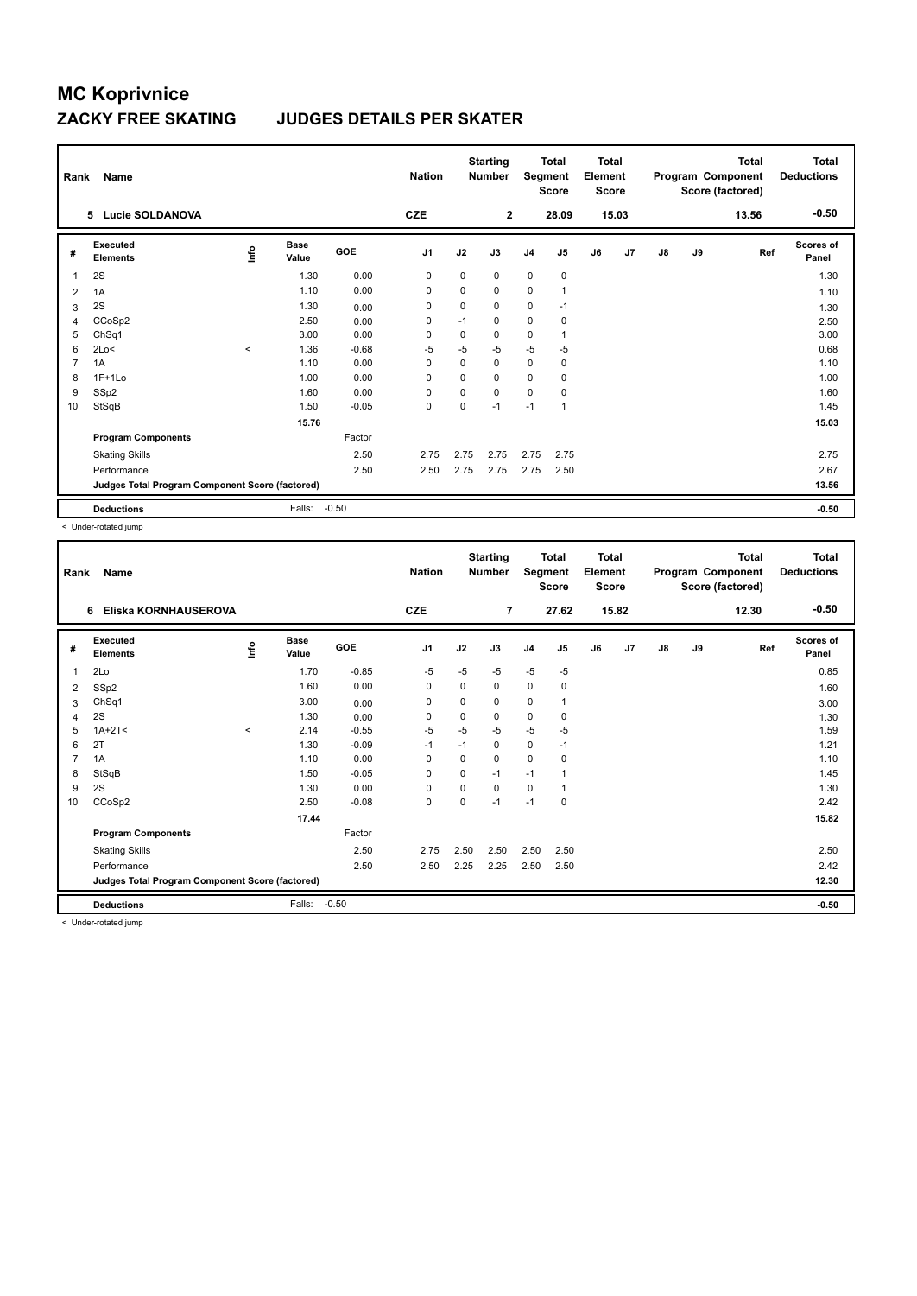#### **ZACKY FREE SKATING JUDGES DETAILS PER SKATER**

| Rank           | Name<br>5 Lucie SOLDANOVA                       |         |                      |         | <b>Nation</b><br><b>CZE</b> |             | <b>Starting</b><br><b>Number</b><br>$\mathbf{2}$ | Segment        | <b>Total</b><br><b>Score</b><br>28.09 | <b>Total</b><br>Element<br><b>Score</b> | 15.03 |               |    | <b>Total</b><br>Program Component<br>Score (factored)<br>13.56 | <b>Total</b><br><b>Deductions</b><br>$-0.50$ |
|----------------|-------------------------------------------------|---------|----------------------|---------|-----------------------------|-------------|--------------------------------------------------|----------------|---------------------------------------|-----------------------------------------|-------|---------------|----|----------------------------------------------------------------|----------------------------------------------|
|                |                                                 |         |                      |         |                             |             |                                                  |                |                                       |                                         |       |               |    |                                                                |                                              |
| #              | Executed<br><b>Elements</b>                     | lnfo    | <b>Base</b><br>Value | GOE     | J <sub>1</sub>              | J2          | J3                                               | J <sub>4</sub> | J5                                    | J6                                      | J7    | $\mathsf{J}8$ | J9 | Ref                                                            | <b>Scores of</b><br>Panel                    |
| 1              | 2S                                              |         | 1.30                 | 0.00    | 0                           | $\mathbf 0$ | 0                                                | $\mathbf 0$    | $\mathbf 0$                           |                                         |       |               |    |                                                                | 1.30                                         |
| $\overline{2}$ | 1A                                              |         | 1.10                 | 0.00    | 0                           | 0           | 0                                                | $\pmb{0}$      | 1                                     |                                         |       |               |    |                                                                | 1.10                                         |
| 3              | 2S                                              |         | 1.30                 | 0.00    | 0                           | 0           | 0                                                | $\mathbf 0$    | $-1$                                  |                                         |       |               |    |                                                                | 1.30                                         |
| 4              | CCoSp2                                          |         | 2.50                 | 0.00    | 0                           | $-1$        | 0                                                | $\mathbf 0$    | 0                                     |                                         |       |               |    |                                                                | 2.50                                         |
| 5              | ChSq1                                           |         | 3.00                 | 0.00    | 0                           | 0           | 0                                                | 0              | -1                                    |                                         |       |               |    |                                                                | 3.00                                         |
| 6              | 2Lo<                                            | $\prec$ | 1.36                 | $-0.68$ | $-5$                        | $-5$        | $-5$                                             | -5             | $-5$                                  |                                         |       |               |    |                                                                | 0.68                                         |
| $\overline{7}$ | 1A                                              |         | 1.10                 | 0.00    | 0                           | 0           | 0                                                | $\mathbf 0$    | 0                                     |                                         |       |               |    |                                                                | 1.10                                         |
| 8              | $1F+1Lo$                                        |         | 1.00                 | 0.00    | $\Omega$                    | $\Omega$    | $\Omega$                                         | $\mathbf 0$    | $\mathbf 0$                           |                                         |       |               |    |                                                                | 1.00                                         |
| 9              | SSp2                                            |         | 1.60                 | 0.00    | $\mathbf 0$                 | 0           | 0                                                | $\mathbf 0$    | $\mathbf 0$                           |                                         |       |               |    |                                                                | 1.60                                         |
| 10             | StSqB                                           |         | 1.50                 | $-0.05$ | $\mathbf 0$                 | $\mathbf 0$ | $-1$                                             | $-1$           | 1                                     |                                         |       |               |    |                                                                | 1.45                                         |
|                |                                                 |         | 15.76                |         |                             |             |                                                  |                |                                       |                                         |       |               |    |                                                                | 15.03                                        |
|                | <b>Program Components</b>                       |         |                      | Factor  |                             |             |                                                  |                |                                       |                                         |       |               |    |                                                                |                                              |
|                | <b>Skating Skills</b>                           |         |                      | 2.50    | 2.75                        | 2.75        | 2.75                                             | 2.75           | 2.75                                  |                                         |       |               |    |                                                                | 2.75                                         |
|                | Performance                                     |         |                      | 2.50    | 2.50                        | 2.75        | 2.75                                             | 2.75           | 2.50                                  |                                         |       |               |    |                                                                | 2.67                                         |
|                | Judges Total Program Component Score (factored) |         |                      |         |                             |             |                                                  |                |                                       |                                         |       |               |    |                                                                | 13.56                                        |
|                | <b>Deductions</b>                               |         | Falls:               | $-0.50$ |                             |             |                                                  |                |                                       |                                         |       |               |    |                                                                | $-0.50$                                      |

< Under-rotated jump

| $-0.50$<br><b>CZE</b><br>15.82<br>Eliska KORNHAUSEROVA<br>7<br>27.62<br>12.30<br>6<br>Executed<br><b>Base</b><br><b>Scores of</b><br>١nfo<br>GOE<br>J <sub>1</sub><br>J2<br>J3<br>J <sub>5</sub><br>J6<br>J7<br>$\mathsf{J}8$<br>J9<br>Ref<br>J <sub>4</sub><br>#<br><b>Elements</b><br>Value<br>Panel<br>$-5$<br>2Lo<br>1.70<br>$-0.85$<br>$-5$<br>$-5$<br>$-5$<br>$-5$<br>0.85<br>1<br>1.60<br>0.00<br>0<br>0<br>0<br>0<br>0<br>SSp2<br>1.60<br>2<br>ChSq1<br>3.00<br>0<br>$\mathbf 0$<br>0<br>0<br>1<br>0.00<br>3.00<br>3<br>2S<br>1.30<br>$\mathbf 0$<br>0<br>0<br>0<br>0<br>0.00<br>1.30<br>4<br>$-5$<br>$-5$<br>$-5$<br>$-5$<br>$1A+2T2$<br>$-0.55$<br>-5<br>1.59<br>2.14<br>5<br>$\prec$<br>0<br>2T<br>1.30<br>$-0.09$<br>$-1$<br>1.21<br>$-1$<br>0<br>$-1$<br>6<br>0<br>1A<br>1.10<br>0.00<br>0<br>1.10<br>$\overline{7}$<br>$\Omega$<br>$\Omega$<br>0<br>StSqB<br>$-0.05$<br>$-1$<br>1.45<br>1.50<br>$\mathbf 0$<br>0<br>$-1$<br>8<br>1<br>2S<br>1.30<br>0.00<br>0<br>1.30<br>9<br>$\mathbf 0$<br>0<br>0<br>1<br>CCoSp2<br>2.50<br>$-0.08$<br>$\mathbf 0$<br>$-1$<br>2.42<br>0<br>$-1$<br>0<br>10<br>15.82<br>17.44<br><b>Program Components</b><br>Factor<br>2.50<br><b>Skating Skills</b><br>2.50<br>2.75<br>2.50<br>2.50<br>2.50<br>2.50<br>2.42<br>Performance<br>2.50<br>2.25<br>2.50<br>2.50<br>2.25<br>2.50<br>12.30<br>Judges Total Program Component Score (factored)<br>$-0.50$<br><b>Deductions</b><br>Falls:<br>$-0.50$ | Rank | Name |  | <b>Nation</b> | <b>Starting</b><br><b>Number</b> | Segment | <b>Total</b><br><b>Score</b> | <b>Total</b><br>Element<br><b>Score</b> |  | <b>Total</b><br>Program Component<br>Score (factored) | <b>Total</b><br><b>Deductions</b> |
|----------------------------------------------------------------------------------------------------------------------------------------------------------------------------------------------------------------------------------------------------------------------------------------------------------------------------------------------------------------------------------------------------------------------------------------------------------------------------------------------------------------------------------------------------------------------------------------------------------------------------------------------------------------------------------------------------------------------------------------------------------------------------------------------------------------------------------------------------------------------------------------------------------------------------------------------------------------------------------------------------------------------------------------------------------------------------------------------------------------------------------------------------------------------------------------------------------------------------------------------------------------------------------------------------------------------------------------------------------------------------------------------------------------------------------------------|------|------|--|---------------|----------------------------------|---------|------------------------------|-----------------------------------------|--|-------------------------------------------------------|-----------------------------------|
|                                                                                                                                                                                                                                                                                                                                                                                                                                                                                                                                                                                                                                                                                                                                                                                                                                                                                                                                                                                                                                                                                                                                                                                                                                                                                                                                                                                                                                              |      |      |  |               |                                  |         |                              |                                         |  |                                                       |                                   |
|                                                                                                                                                                                                                                                                                                                                                                                                                                                                                                                                                                                                                                                                                                                                                                                                                                                                                                                                                                                                                                                                                                                                                                                                                                                                                                                                                                                                                                              |      |      |  |               |                                  |         |                              |                                         |  |                                                       |                                   |
|                                                                                                                                                                                                                                                                                                                                                                                                                                                                                                                                                                                                                                                                                                                                                                                                                                                                                                                                                                                                                                                                                                                                                                                                                                                                                                                                                                                                                                              |      |      |  |               |                                  |         |                              |                                         |  |                                                       |                                   |
|                                                                                                                                                                                                                                                                                                                                                                                                                                                                                                                                                                                                                                                                                                                                                                                                                                                                                                                                                                                                                                                                                                                                                                                                                                                                                                                                                                                                                                              |      |      |  |               |                                  |         |                              |                                         |  |                                                       |                                   |
|                                                                                                                                                                                                                                                                                                                                                                                                                                                                                                                                                                                                                                                                                                                                                                                                                                                                                                                                                                                                                                                                                                                                                                                                                                                                                                                                                                                                                                              |      |      |  |               |                                  |         |                              |                                         |  |                                                       |                                   |
|                                                                                                                                                                                                                                                                                                                                                                                                                                                                                                                                                                                                                                                                                                                                                                                                                                                                                                                                                                                                                                                                                                                                                                                                                                                                                                                                                                                                                                              |      |      |  |               |                                  |         |                              |                                         |  |                                                       |                                   |
|                                                                                                                                                                                                                                                                                                                                                                                                                                                                                                                                                                                                                                                                                                                                                                                                                                                                                                                                                                                                                                                                                                                                                                                                                                                                                                                                                                                                                                              |      |      |  |               |                                  |         |                              |                                         |  |                                                       |                                   |
|                                                                                                                                                                                                                                                                                                                                                                                                                                                                                                                                                                                                                                                                                                                                                                                                                                                                                                                                                                                                                                                                                                                                                                                                                                                                                                                                                                                                                                              |      |      |  |               |                                  |         |                              |                                         |  |                                                       |                                   |
|                                                                                                                                                                                                                                                                                                                                                                                                                                                                                                                                                                                                                                                                                                                                                                                                                                                                                                                                                                                                                                                                                                                                                                                                                                                                                                                                                                                                                                              |      |      |  |               |                                  |         |                              |                                         |  |                                                       |                                   |
|                                                                                                                                                                                                                                                                                                                                                                                                                                                                                                                                                                                                                                                                                                                                                                                                                                                                                                                                                                                                                                                                                                                                                                                                                                                                                                                                                                                                                                              |      |      |  |               |                                  |         |                              |                                         |  |                                                       |                                   |
|                                                                                                                                                                                                                                                                                                                                                                                                                                                                                                                                                                                                                                                                                                                                                                                                                                                                                                                                                                                                                                                                                                                                                                                                                                                                                                                                                                                                                                              |      |      |  |               |                                  |         |                              |                                         |  |                                                       |                                   |
|                                                                                                                                                                                                                                                                                                                                                                                                                                                                                                                                                                                                                                                                                                                                                                                                                                                                                                                                                                                                                                                                                                                                                                                                                                                                                                                                                                                                                                              |      |      |  |               |                                  |         |                              |                                         |  |                                                       |                                   |
|                                                                                                                                                                                                                                                                                                                                                                                                                                                                                                                                                                                                                                                                                                                                                                                                                                                                                                                                                                                                                                                                                                                                                                                                                                                                                                                                                                                                                                              |      |      |  |               |                                  |         |                              |                                         |  |                                                       |                                   |
|                                                                                                                                                                                                                                                                                                                                                                                                                                                                                                                                                                                                                                                                                                                                                                                                                                                                                                                                                                                                                                                                                                                                                                                                                                                                                                                                                                                                                                              |      |      |  |               |                                  |         |                              |                                         |  |                                                       |                                   |
|                                                                                                                                                                                                                                                                                                                                                                                                                                                                                                                                                                                                                                                                                                                                                                                                                                                                                                                                                                                                                                                                                                                                                                                                                                                                                                                                                                                                                                              |      |      |  |               |                                  |         |                              |                                         |  |                                                       |                                   |
|                                                                                                                                                                                                                                                                                                                                                                                                                                                                                                                                                                                                                                                                                                                                                                                                                                                                                                                                                                                                                                                                                                                                                                                                                                                                                                                                                                                                                                              |      |      |  |               |                                  |         |                              |                                         |  |                                                       |                                   |
|                                                                                                                                                                                                                                                                                                                                                                                                                                                                                                                                                                                                                                                                                                                                                                                                                                                                                                                                                                                                                                                                                                                                                                                                                                                                                                                                                                                                                                              |      |      |  |               |                                  |         |                              |                                         |  |                                                       |                                   |
|                                                                                                                                                                                                                                                                                                                                                                                                                                                                                                                                                                                                                                                                                                                                                                                                                                                                                                                                                                                                                                                                                                                                                                                                                                                                                                                                                                                                                                              |      |      |  |               |                                  |         |                              |                                         |  |                                                       |                                   |

< Under-rotated jump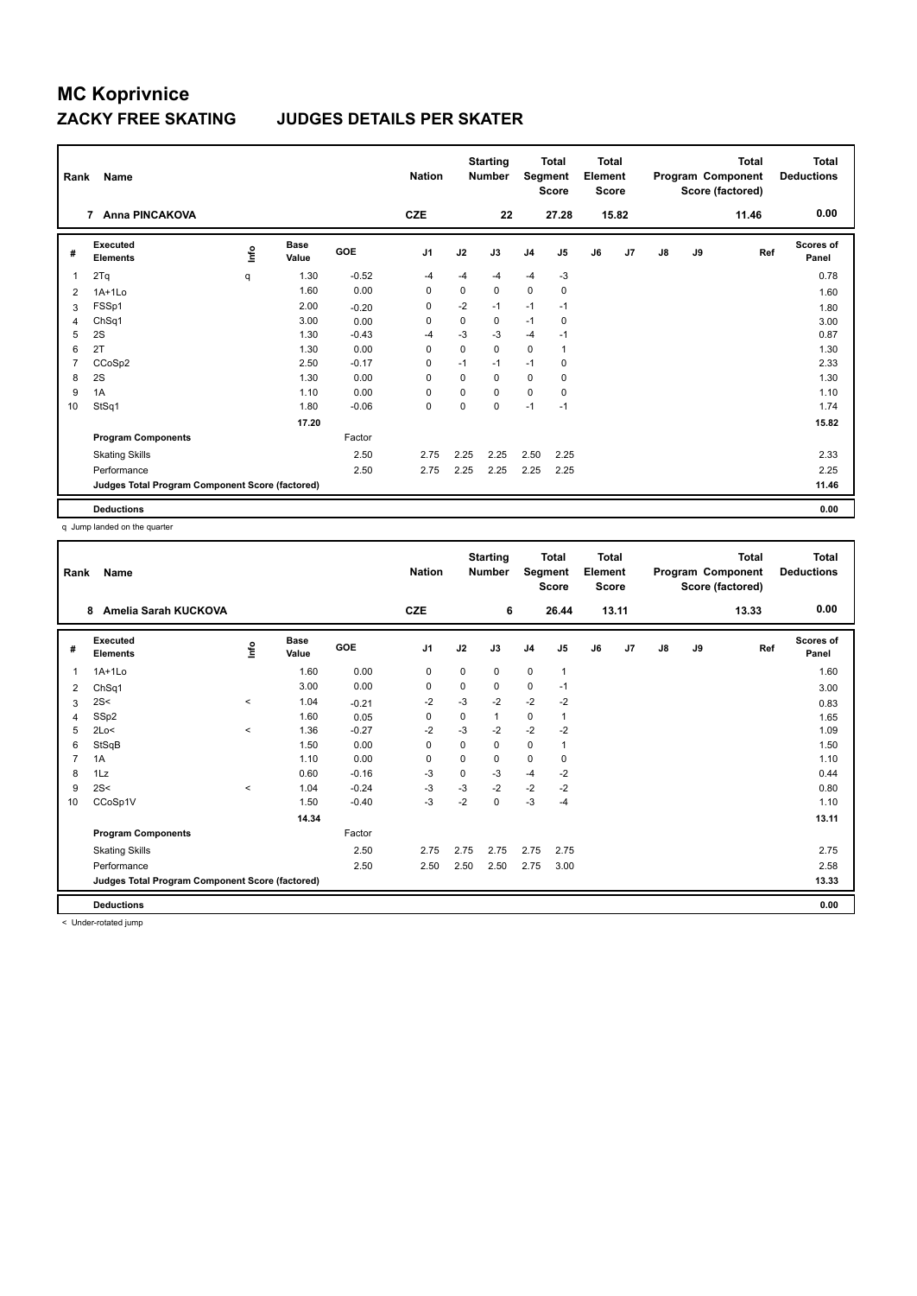### **ZACKY FREE SKATING JUDGES DETAILS PER SKATER**

| Rank           | Name                                            |             |               |         | <b>Nation</b>  |             | <b>Starting</b><br><b>Number</b> | Segment        | <b>Total</b><br><b>Score</b> | <b>Total</b><br>Element<br><b>Score</b> |       |               |    | Total<br>Program Component<br>Score (factored) | <b>Total</b><br><b>Deductions</b> |
|----------------|-------------------------------------------------|-------------|---------------|---------|----------------|-------------|----------------------------------|----------------|------------------------------|-----------------------------------------|-------|---------------|----|------------------------------------------------|-----------------------------------|
|                | <b>Anna PINCAKOVA</b><br>$\overline{7}$         |             |               |         | <b>CZE</b>     |             | 22                               |                | 27.28                        |                                         | 15.82 |               |    | 11.46                                          | 0.00                              |
| #              | Executed<br><b>Elements</b>                     | <u>lnfo</u> | Base<br>Value | GOE     | J <sub>1</sub> | J2          | J3                               | J <sub>4</sub> | J5                           | J6                                      | J7    | $\mathsf{J}8$ | J9 | Ref                                            | Scores of<br>Panel                |
| 1              | 2Tq                                             | q           | 1.30          | $-0.52$ | $-4$           | $-4$        | $-4$                             | $-4$           | $-3$                         |                                         |       |               |    |                                                | 0.78                              |
| 2              | $1A+1Lo$                                        |             | 1.60          | 0.00    | 0              | $\mathbf 0$ | 0                                | $\pmb{0}$      | 0                            |                                         |       |               |    |                                                | 1.60                              |
| 3              | FSSp1                                           |             | 2.00          | $-0.20$ | 0              | $-2$        | $-1$                             | $-1$           | $-1$                         |                                         |       |               |    |                                                | 1.80                              |
| $\overline{4}$ | ChSq1                                           |             | 3.00          | 0.00    | 0              | 0           | 0                                | $-1$           | 0                            |                                         |       |               |    |                                                | 3.00                              |
| 5              | 2S                                              |             | 1.30          | $-0.43$ | $-4$           | $-3$        | $-3$                             | $-4$           | $-1$                         |                                         |       |               |    |                                                | 0.87                              |
| 6              | 2T                                              |             | 1.30          | 0.00    | $\mathbf 0$    | $\mathbf 0$ | 0                                | $\mathbf 0$    | 1                            |                                         |       |               |    |                                                | 1.30                              |
| $\overline{7}$ | CCoSp2                                          |             | 2.50          | $-0.17$ | $\mathbf 0$    | $-1$        | $-1$                             | $-1$           | 0                            |                                         |       |               |    |                                                | 2.33                              |
| 8              | 2S                                              |             | 1.30          | 0.00    | $\Omega$       | 0           | 0                                | 0              | 0                            |                                         |       |               |    |                                                | 1.30                              |
| 9              | 1A                                              |             | 1.10          | 0.00    | 0              | $\Omega$    | 0                                | $\mathbf 0$    | 0                            |                                         |       |               |    |                                                | 1.10                              |
| 10             | StSq1                                           |             | 1.80          | $-0.06$ | $\mathbf 0$    | $\Omega$    | 0                                | $-1$           | $-1$                         |                                         |       |               |    |                                                | 1.74                              |
|                |                                                 |             | 17.20         |         |                |             |                                  |                |                              |                                         |       |               |    |                                                | 15.82                             |
|                | <b>Program Components</b>                       |             |               | Factor  |                |             |                                  |                |                              |                                         |       |               |    |                                                |                                   |
|                | <b>Skating Skills</b>                           |             |               | 2.50    | 2.75           | 2.25        | 2.25                             | 2.50           | 2.25                         |                                         |       |               |    |                                                | 2.33                              |
|                | Performance                                     |             |               | 2.50    | 2.75           | 2.25        | 2.25                             | 2.25           | 2.25                         |                                         |       |               |    |                                                | 2.25                              |
|                | Judges Total Program Component Score (factored) |             |               |         |                |             |                                  |                |                              |                                         |       |               |    |                                                | 11.46                             |
|                | <b>Deductions</b>                               |             |               |         |                |             |                                  |                |                              |                                         |       |               |    |                                                | 0.00                              |

q Jump landed on the quarter

| Rank | Name                                            |         |                      |            | <b>Nation</b>  |             | <b>Starting</b><br><b>Number</b> | Segment        | <b>Total</b><br><b>Score</b> | <b>Total</b><br>Element<br>Score |       |               |    | <b>Total</b><br>Program Component<br>Score (factored) | <b>Total</b><br><b>Deductions</b> |
|------|-------------------------------------------------|---------|----------------------|------------|----------------|-------------|----------------------------------|----------------|------------------------------|----------------------------------|-------|---------------|----|-------------------------------------------------------|-----------------------------------|
|      | Amelia Sarah KUCKOVA<br>8                       |         |                      |            | <b>CZE</b>     |             | 6                                |                | 26.44                        |                                  | 13.11 |               |    | 13.33                                                 | 0.00                              |
| #    | Executed<br><b>Elements</b>                     | ١nfo    | <b>Base</b><br>Value | <b>GOE</b> | J <sub>1</sub> | J2          | J3                               | J <sub>4</sub> | J5                           | J6                               | J7    | $\mathsf{J}8$ | J9 | Ref                                                   | <b>Scores of</b><br>Panel         |
| 1    | $1A+1Lo$                                        |         | 1.60                 | 0.00       | 0              | 0           | $\mathbf 0$                      | 0              | 1                            |                                  |       |               |    |                                                       | 1.60                              |
| 2    | Ch <sub>Sq1</sub>                               |         | 3.00                 | 0.00       | 0              | 0           | 0                                | $\mathbf 0$    | $-1$                         |                                  |       |               |    |                                                       | 3.00                              |
| 3    | 2S<                                             | $\prec$ | 1.04                 | $-0.21$    | $-2$           | $-3$        | $-2$                             | $-2$           | $-2$                         |                                  |       |               |    |                                                       | 0.83                              |
| 4    | SSp2                                            |         | 1.60                 | 0.05       | 0              | 0           | $\mathbf{1}$                     | 0              | 1                            |                                  |       |               |    |                                                       | 1.65                              |
| 5    | 2Lo<                                            | $\prec$ | 1.36                 | $-0.27$    | -2             | $-3$        | -2                               | $-2$           | $-2$                         |                                  |       |               |    |                                                       | 1.09                              |
| 6    | StSqB                                           |         | 1.50                 | 0.00       | $\Omega$       | $\Omega$    | 0                                | 0              | 1                            |                                  |       |               |    |                                                       | 1.50                              |
| 7    | 1A                                              |         | 1.10                 | 0.00       | $\Omega$       | $\Omega$    | $\Omega$                         | $\mathbf 0$    | $\Omega$                     |                                  |       |               |    |                                                       | 1.10                              |
| 8    | 1Lz                                             |         | 0.60                 | $-0.16$    | $-3$           | $\mathbf 0$ | $-3$                             | $-4$           | $-2$                         |                                  |       |               |    |                                                       | 0.44                              |
| 9    | 2S<                                             | $\prec$ | 1.04                 | $-0.24$    | -3             | $-3$        | $-2$                             | $-2$           | $-2$                         |                                  |       |               |    |                                                       | 0.80                              |
| 10   | CCoSp1V                                         |         | 1.50                 | $-0.40$    | $-3$           | $-2$        | 0                                | $-3$           | $-4$                         |                                  |       |               |    |                                                       | 1.10                              |
|      |                                                 |         | 14.34                |            |                |             |                                  |                |                              |                                  |       |               |    |                                                       | 13.11                             |
|      | <b>Program Components</b>                       |         |                      | Factor     |                |             |                                  |                |                              |                                  |       |               |    |                                                       |                                   |
|      | <b>Skating Skills</b>                           |         |                      | 2.50       | 2.75           | 2.75        | 2.75                             | 2.75           | 2.75                         |                                  |       |               |    |                                                       | 2.75                              |
|      | Performance                                     |         |                      | 2.50       | 2.50           | 2.50        | 2.50                             | 2.75           | 3.00                         |                                  |       |               |    |                                                       | 2.58                              |
|      | Judges Total Program Component Score (factored) |         |                      |            |                |             |                                  |                |                              |                                  |       |               |    |                                                       | 13.33                             |
|      | <b>Deductions</b>                               |         |                      |            |                |             |                                  |                |                              |                                  |       |               |    |                                                       | 0.00                              |

< Under-rotated jump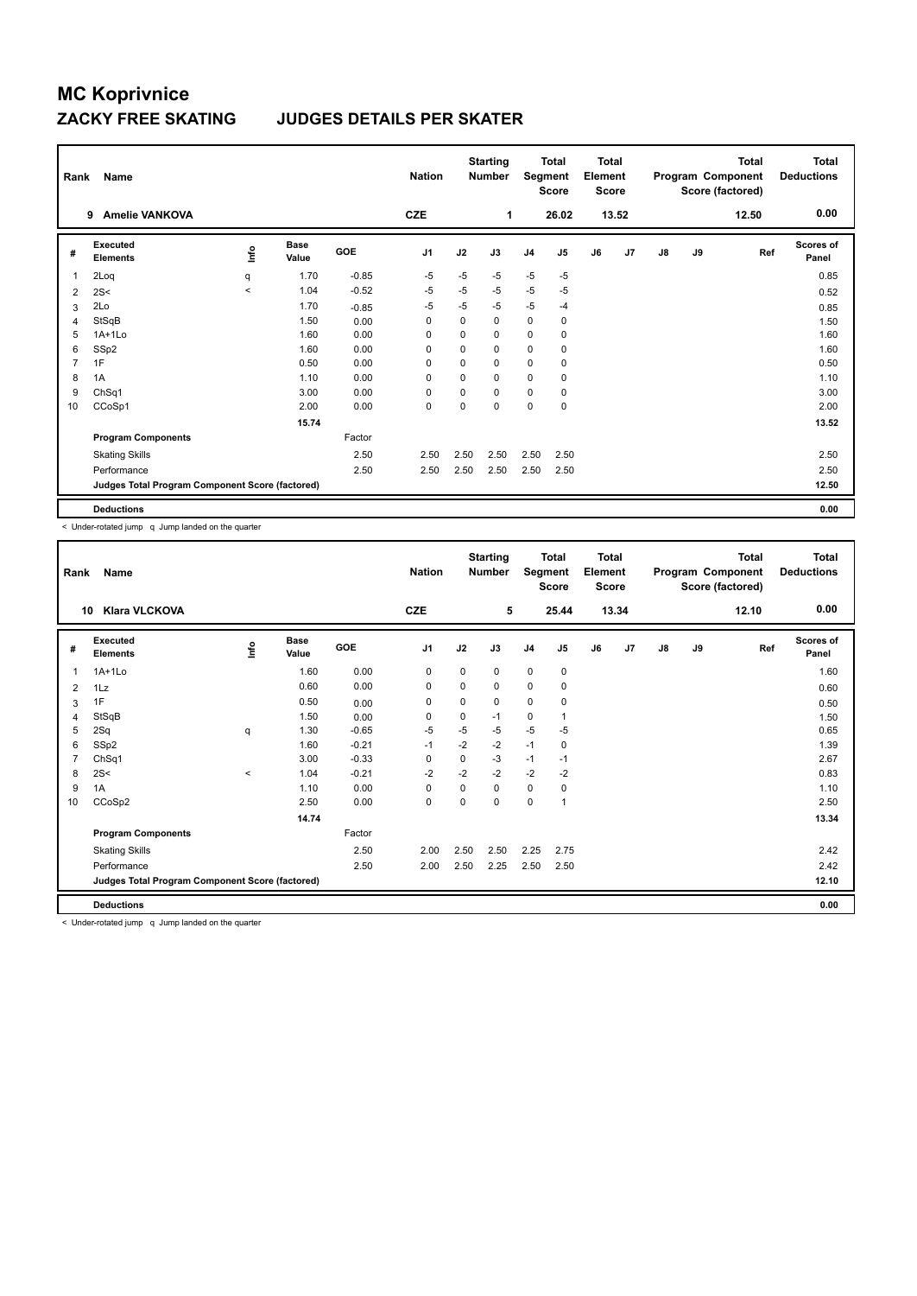#### **ZACKY FREE SKATING JUDGES DETAILS PER SKATER**

| Rank           | Name                                            |             |               |         | <b>Nation</b> |             | <b>Starting</b><br><b>Number</b> | Segment        | Total<br><b>Score</b> | <b>Total</b><br>Element<br><b>Score</b> |       |               |    | Total<br>Program Component<br>Score (factored) | <b>Total</b><br><b>Deductions</b> |
|----------------|-------------------------------------------------|-------------|---------------|---------|---------------|-------------|----------------------------------|----------------|-----------------------|-----------------------------------------|-------|---------------|----|------------------------------------------------|-----------------------------------|
|                | <b>Amelie VANKOVA</b><br>9                      |             |               |         | <b>CZE</b>    |             | 1                                |                | 26.02                 |                                         | 13.52 |               |    | 12.50                                          | 0.00                              |
| #              | Executed<br><b>Elements</b>                     | <u>lnfo</u> | Base<br>Value | GOE     | J1            | J2          | J3                               | J <sub>4</sub> | J5                    | J6                                      | J7    | $\mathsf{J}8$ | J9 | Ref                                            | Scores of<br>Panel                |
| 1              | 2Loq                                            | q           | 1.70          | $-0.85$ | -5            | $-5$        | $-5$                             | $-5$           | $-5$                  |                                         |       |               |    |                                                | 0.85                              |
| 2              | 2S<                                             | $\hat{}$    | 1.04          | $-0.52$ | $-5$          | $-5$        | $-5$                             | $-5$           | $-5$                  |                                         |       |               |    |                                                | 0.52                              |
| 3              | 2Lo                                             |             | 1.70          | $-0.85$ | $-5$          | $-5$        | $-5$                             | $-5$           | $-4$                  |                                         |       |               |    |                                                | 0.85                              |
| $\overline{4}$ | StSqB                                           |             | 1.50          | 0.00    | 0             | 0           | 0                                | 0              | 0                     |                                         |       |               |    |                                                | 1.50                              |
| 5              | $1A+1Lo$                                        |             | 1.60          | 0.00    | 0             | 0           | 0                                | $\mathbf 0$    | 0                     |                                         |       |               |    |                                                | 1.60                              |
| 6              | SSp2                                            |             | 1.60          | 0.00    | 0             | 0           | 0                                | $\mathbf 0$    | 0                     |                                         |       |               |    |                                                | 1.60                              |
| $\overline{7}$ | 1F                                              |             | 0.50          | 0.00    | $\mathbf 0$   | $\mathbf 0$ | 0                                | $\mathbf 0$    | 0                     |                                         |       |               |    |                                                | 0.50                              |
| 8              | 1A                                              |             | 1.10          | 0.00    | $\Omega$      | $\Omega$    | 0                                | 0              | 0                     |                                         |       |               |    |                                                | 1.10                              |
| 9              | ChSq1                                           |             | 3.00          | 0.00    | $\mathbf 0$   | $\Omega$    | 0                                | $\mathbf 0$    | 0                     |                                         |       |               |    |                                                | 3.00                              |
| 10             | CCoSp1                                          |             | 2.00          | 0.00    | $\mathbf 0$   | $\Omega$    | 0                                | $\mathbf 0$    | $\mathbf 0$           |                                         |       |               |    |                                                | 2.00                              |
|                |                                                 |             | 15.74         |         |               |             |                                  |                |                       |                                         |       |               |    |                                                | 13.52                             |
|                | <b>Program Components</b>                       |             |               | Factor  |               |             |                                  |                |                       |                                         |       |               |    |                                                |                                   |
|                | <b>Skating Skills</b>                           |             |               | 2.50    | 2.50          | 2.50        | 2.50                             | 2.50           | 2.50                  |                                         |       |               |    |                                                | 2.50                              |
|                | Performance                                     |             |               | 2.50    | 2.50          | 2.50        | 2.50                             | 2.50           | 2.50                  |                                         |       |               |    |                                                | 2.50                              |
|                | Judges Total Program Component Score (factored) |             |               |         |               |             |                                  |                |                       |                                         |       |               |    |                                                | 12.50                             |
|                | <b>Deductions</b>                               |             |               |         |               |             |                                  |                |                       |                                         |       |               |    |                                                | 0.00                              |

< Under-rotated jump q Jump landed on the quarter

| Rank           | Name                                            |          |                      |            | <b>Nation</b>  |      | <b>Starting</b><br><b>Number</b> | Segment        | <b>Total</b><br><b>Score</b> | <b>Total</b><br>Element<br><b>Score</b> |                |               |    | <b>Total</b><br>Program Component<br>Score (factored) | <b>Total</b><br><b>Deductions</b> |
|----------------|-------------------------------------------------|----------|----------------------|------------|----------------|------|----------------------------------|----------------|------------------------------|-----------------------------------------|----------------|---------------|----|-------------------------------------------------------|-----------------------------------|
|                | <b>Klara VLCKOVA</b><br>10                      |          |                      |            | <b>CZE</b>     |      | 5                                |                | 25.44                        |                                         | 13.34          |               |    | 12.10                                                 | 0.00                              |
| #              | Executed<br><b>Elements</b>                     | lnfo     | <b>Base</b><br>Value | <b>GOE</b> | J <sub>1</sub> | J2   | J3                               | J <sub>4</sub> | J5                           | J6                                      | J <sub>7</sub> | $\mathsf{J}8$ | J9 | Ref                                                   | <b>Scores of</b><br>Panel         |
| 1              | $1A+1Lo$                                        |          | 1.60                 | 0.00       | 0              | 0    | 0                                | $\mathbf 0$    | 0                            |                                         |                |               |    |                                                       | 1.60                              |
| $\overline{2}$ | 1Lz                                             |          | 0.60                 | 0.00       | 0              | 0    | 0                                | 0              | 0                            |                                         |                |               |    |                                                       | 0.60                              |
| 3              | 1F                                              |          | 0.50                 | 0.00       | 0              | 0    | 0                                | $\mathbf 0$    | 0                            |                                         |                |               |    |                                                       | 0.50                              |
| 4              | StSqB                                           |          | 1.50                 | 0.00       | 0              | 0    | $-1$                             | 0              | 1                            |                                         |                |               |    |                                                       | 1.50                              |
| 5              | 2Sq                                             | q        | 1.30                 | $-0.65$    | $-5$           | $-5$ | $-5$                             | $-5$           | -5                           |                                         |                |               |    |                                                       | 0.65                              |
| 6              | SSp2                                            |          | 1.60                 | $-0.21$    | $-1$           | $-2$ | $-2$                             | $-1$           | 0                            |                                         |                |               |    |                                                       | 1.39                              |
| 7              | ChSq1                                           |          | 3.00                 | $-0.33$    | $\mathbf 0$    | 0    | $-3$                             | $-1$           | $-1$                         |                                         |                |               |    |                                                       | 2.67                              |
| 8              | 2S<                                             | $\hat{}$ | 1.04                 | $-0.21$    | $-2$           | $-2$ | $-2$                             | $-2$           | $-2$                         |                                         |                |               |    |                                                       | 0.83                              |
| 9              | 1A                                              |          | 1.10                 | 0.00       | 0              | 0    | 0                                | 0              | 0                            |                                         |                |               |    |                                                       | 1.10                              |
| 10             | CCoSp2                                          |          | 2.50                 | 0.00       | $\pmb{0}$      | 0    | 0                                | $\pmb{0}$      | 1                            |                                         |                |               |    |                                                       | 2.50                              |
|                |                                                 |          | 14.74                |            |                |      |                                  |                |                              |                                         |                |               |    |                                                       | 13.34                             |
|                | <b>Program Components</b>                       |          |                      | Factor     |                |      |                                  |                |                              |                                         |                |               |    |                                                       |                                   |
|                | <b>Skating Skills</b>                           |          |                      | 2.50       | 2.00           | 2.50 | 2.50                             | 2.25           | 2.75                         |                                         |                |               |    |                                                       | 2.42                              |
|                | Performance                                     |          |                      | 2.50       | 2.00           | 2.50 | 2.25                             | 2.50           | 2.50                         |                                         |                |               |    |                                                       | 2.42                              |
|                | Judges Total Program Component Score (factored) |          |                      |            |                |      |                                  |                |                              |                                         |                |               |    |                                                       | 12.10                             |
|                | <b>Deductions</b>                               |          |                      |            |                |      |                                  |                |                              |                                         |                |               |    |                                                       | 0.00                              |

< Under-rotated jump q Jump landed on the quarter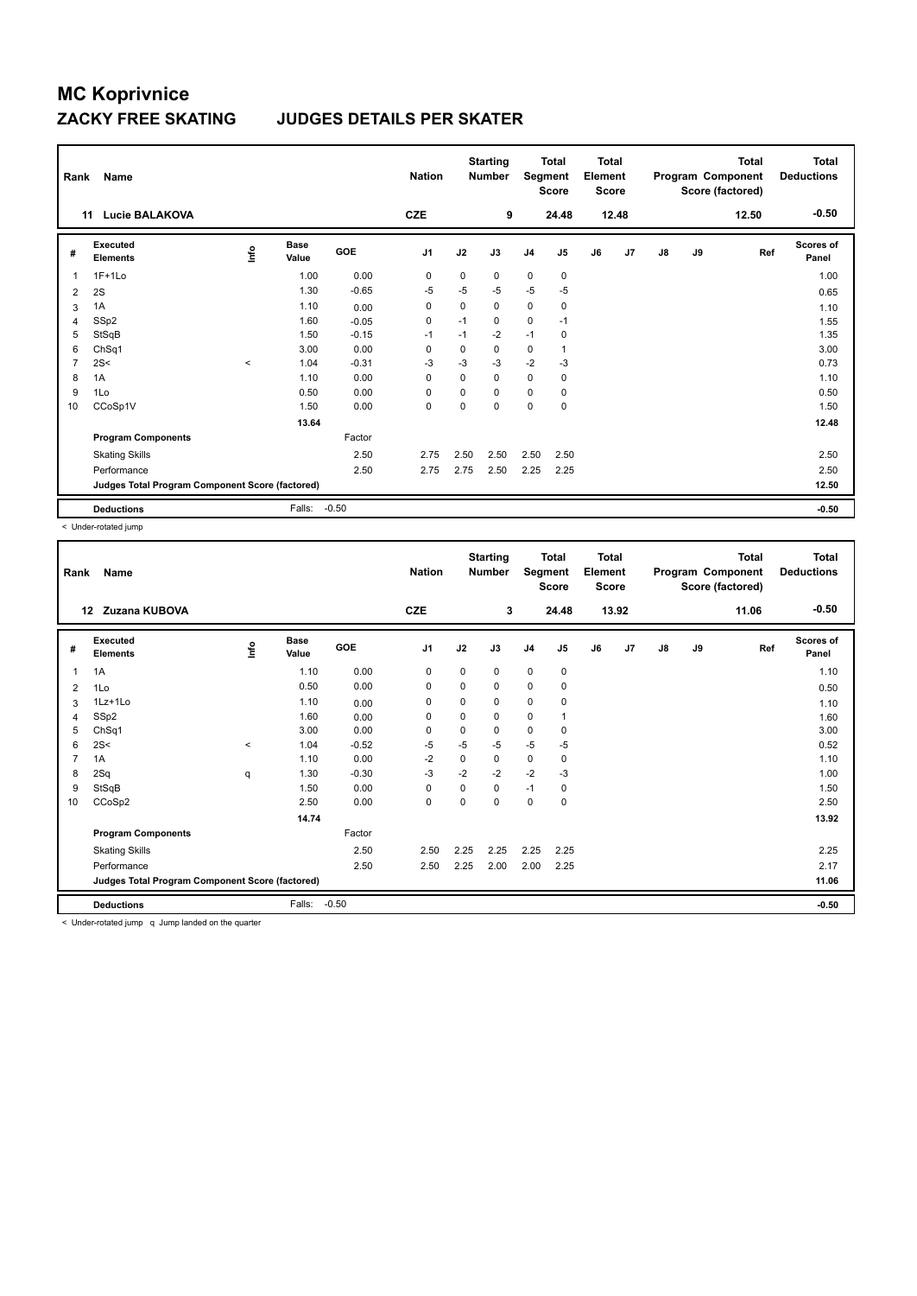### **ZACKY FREE SKATING JUDGES DETAILS PER SKATER**

| Rank           | Name<br>Lucie BALAKOVA<br>11                    |         |                      |         | <b>Nation</b><br><b>CZE</b> |          | <b>Starting</b><br><b>Number</b><br>9 |                | <b>Total</b><br>Segment<br><b>Score</b><br>24.48 | <b>Total</b><br>Element<br><b>Score</b> | 12.48 |    |    | <b>Total</b><br>Program Component<br>Score (factored)<br>12.50 | <b>Total</b><br><b>Deductions</b><br>$-0.50$ |
|----------------|-------------------------------------------------|---------|----------------------|---------|-----------------------------|----------|---------------------------------------|----------------|--------------------------------------------------|-----------------------------------------|-------|----|----|----------------------------------------------------------------|----------------------------------------------|
|                |                                                 |         |                      |         |                             |          |                                       |                |                                                  |                                         |       |    |    |                                                                |                                              |
| #              | Executed<br><b>Elements</b>                     | lnfo    | <b>Base</b><br>Value | GOE     | J <sub>1</sub>              | J2       | J3                                    | J <sub>4</sub> | J5                                               | J6                                      | J7    | J8 | J9 | Ref                                                            | <b>Scores of</b><br>Panel                    |
| $\mathbf{1}$   | $1F+1Lo$                                        |         | 1.00                 | 0.00    | 0                           | 0        | 0                                     | $\mathbf 0$    | $\mathbf 0$                                      |                                         |       |    |    |                                                                | 1.00                                         |
| 2              | 2S                                              |         | 1.30                 | $-0.65$ | -5                          | $-5$     | $-5$                                  | -5             | $-5$                                             |                                         |       |    |    |                                                                | 0.65                                         |
| 3              | 1A                                              |         | 1.10                 | 0.00    | 0                           | 0        | 0                                     | $\mathbf 0$    | 0                                                |                                         |       |    |    |                                                                | 1.10                                         |
| 4              | SSp2                                            |         | 1.60                 | $-0.05$ | $\mathbf 0$                 | $-1$     | 0                                     | $\mathbf 0$    | $-1$                                             |                                         |       |    |    |                                                                | 1.55                                         |
| 5              | StSqB                                           |         | 1.50                 | $-0.15$ | $-1$                        | $-1$     | $-2$                                  | $-1$           | $\mathbf 0$                                      |                                         |       |    |    |                                                                | 1.35                                         |
| 6              | ChSq1                                           |         | 3.00                 | 0.00    | 0                           | 0        | 0                                     | 0              |                                                  |                                         |       |    |    |                                                                | 3.00                                         |
| $\overline{7}$ | 2S<                                             | $\prec$ | 1.04                 | $-0.31$ | $-3$                        | $-3$     | $-3$                                  | $-2$           | $-3$                                             |                                         |       |    |    |                                                                | 0.73                                         |
| 8              | 1A                                              |         | 1.10                 | 0.00    | $\Omega$                    | $\Omega$ | $\Omega$                              | $\mathbf 0$    | $\mathbf 0$                                      |                                         |       |    |    |                                                                | 1.10                                         |
| 9              | 1Lo                                             |         | 0.50                 | 0.00    | $\mathbf 0$                 | 0        | 0                                     | $\mathbf 0$    | 0                                                |                                         |       |    |    |                                                                | 0.50                                         |
| 10             | CCoSp1V                                         |         | 1.50                 | 0.00    | $\mathbf 0$                 | $\Omega$ | 0                                     | $\mathbf 0$    | $\mathbf 0$                                      |                                         |       |    |    |                                                                | 1.50                                         |
|                |                                                 |         | 13.64                |         |                             |          |                                       |                |                                                  |                                         |       |    |    |                                                                | 12.48                                        |
|                | <b>Program Components</b>                       |         |                      | Factor  |                             |          |                                       |                |                                                  |                                         |       |    |    |                                                                |                                              |
|                | <b>Skating Skills</b>                           |         |                      | 2.50    | 2.75                        | 2.50     | 2.50                                  | 2.50           | 2.50                                             |                                         |       |    |    |                                                                | 2.50                                         |
|                | Performance                                     |         |                      | 2.50    | 2.75                        | 2.75     | 2.50                                  | 2.25           | 2.25                                             |                                         |       |    |    |                                                                | 2.50                                         |
|                | Judges Total Program Component Score (factored) |         |                      |         |                             |          |                                       |                |                                                  |                                         |       |    |    |                                                                | 12.50                                        |
|                | <b>Deductions</b>                               |         | Falls:               | $-0.50$ |                             |          |                                       |                |                                                  |                                         |       |    |    |                                                                | $-0.50$                                      |

< Under-rotated jump

| Rank           | <b>Name</b>                                     |          |                      |         | <b>Nation</b>  |          | <b>Starting</b><br><b>Number</b> | Segment        | <b>Total</b><br><b>Score</b> | <b>Total</b><br>Element<br><b>Score</b> |       |               |    | <b>Total</b><br>Program Component<br>Score (factored) | <b>Total</b><br><b>Deductions</b> |
|----------------|-------------------------------------------------|----------|----------------------|---------|----------------|----------|----------------------------------|----------------|------------------------------|-----------------------------------------|-------|---------------|----|-------------------------------------------------------|-----------------------------------|
|                | Zuzana KUBOVA<br>12                             |          |                      |         | <b>CZE</b>     |          | 3                                |                | 24.48                        |                                         | 13.92 |               |    | 11.06                                                 | $-0.50$                           |
| #              | Executed<br><b>Elements</b>                     | ١nfo     | <b>Base</b><br>Value | GOE     | J <sub>1</sub> | J2       | J3                               | J <sub>4</sub> | J5                           | J6                                      | J7    | $\mathsf{J}8$ | J9 | Ref                                                   | Scores of<br>Panel                |
| 1              | 1A                                              |          | 1.10                 | 0.00    | 0              | 0        | 0                                | $\mathbf 0$    | 0                            |                                         |       |               |    |                                                       | 1.10                              |
| 2              | 1Lo                                             |          | 0.50                 | 0.00    | 0              | 0        | 0                                | 0              | 0                            |                                         |       |               |    |                                                       | 0.50                              |
| 3              | 1Lz+1Lo                                         |          | 1.10                 | 0.00    | 0              | 0        | 0                                | $\pmb{0}$      | 0                            |                                         |       |               |    |                                                       | 1.10                              |
| 4              | SSp2                                            |          | 1.60                 | 0.00    | 0              | 0        | 0                                | 0              |                              |                                         |       |               |    |                                                       | 1.60                              |
| 5              | ChSq1                                           |          | 3.00                 | 0.00    | 0              | 0        | 0                                | $\mathbf 0$    | 0                            |                                         |       |               |    |                                                       | 3.00                              |
| 6              | 2S<                                             | $\hat{}$ | 1.04                 | $-0.52$ | $-5$           | $-5$     | $-5$                             | $-5$           | $-5$                         |                                         |       |               |    |                                                       | 0.52                              |
| $\overline{7}$ | 1A                                              |          | 1.10                 | 0.00    | $-2$           | 0        | 0                                | $\pmb{0}$      | 0                            |                                         |       |               |    |                                                       | 1.10                              |
| 8              | 2Sq                                             | q        | 1.30                 | $-0.30$ | $-3$           | $-2$     | $-2$                             | $-2$           | $-3$                         |                                         |       |               |    |                                                       | 1.00                              |
| 9              | StSqB                                           |          | 1.50                 | 0.00    | 0              | 0        | 0                                | $-1$           | 0                            |                                         |       |               |    |                                                       | 1.50                              |
| 10             | CCoSp2                                          |          | 2.50                 | 0.00    | 0              | $\Omega$ | 0                                | 0              | 0                            |                                         |       |               |    |                                                       | 2.50                              |
|                |                                                 |          | 14.74                |         |                |          |                                  |                |                              |                                         |       |               |    |                                                       | 13.92                             |
|                | <b>Program Components</b>                       |          |                      | Factor  |                |          |                                  |                |                              |                                         |       |               |    |                                                       |                                   |
|                | <b>Skating Skills</b>                           |          |                      | 2.50    | 2.50           | 2.25     | 2.25                             | 2.25           | 2.25                         |                                         |       |               |    |                                                       | 2.25                              |
|                | Performance                                     |          |                      | 2.50    | 2.50           | 2.25     | 2.00                             | 2.00           | 2.25                         |                                         |       |               |    |                                                       | 2.17                              |
|                | Judges Total Program Component Score (factored) |          |                      |         |                |          |                                  |                |                              |                                         |       |               |    |                                                       | 11.06                             |
|                | <b>Deductions</b>                               |          | Falls:               | $-0.50$ |                |          |                                  |                |                              |                                         |       |               |    |                                                       | $-0.50$                           |
|                | .                                               |          |                      |         |                |          |                                  |                |                              |                                         |       |               |    |                                                       |                                   |

< Under-rotated jump q Jump landed on the quarter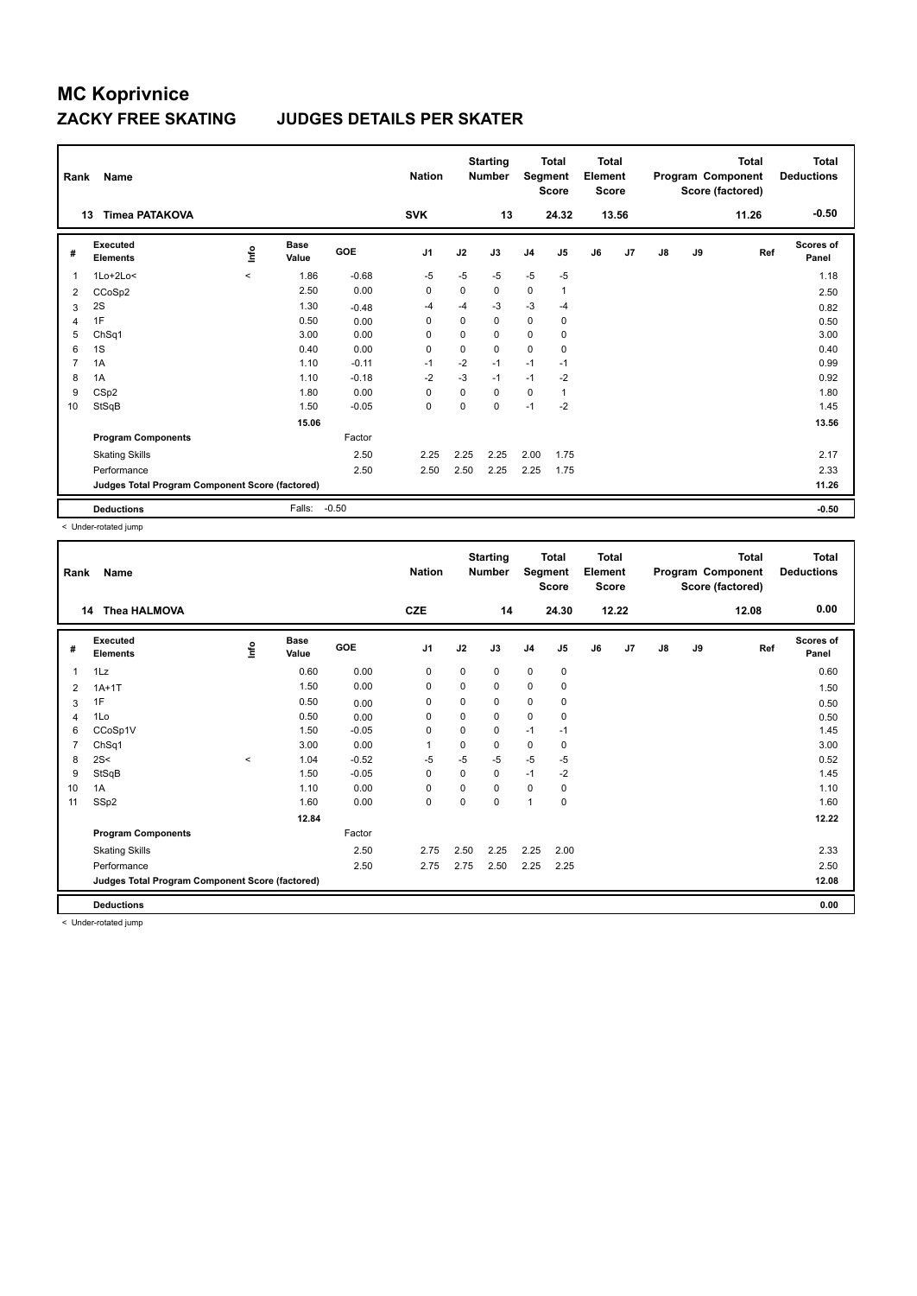### **ZACKY FREE SKATING JUDGES DETAILS PER SKATER**

| Rank           | Name<br><b>Timea PATAKOVA</b><br>13             |         |                      | <b>Nation</b> | <b>Starting</b><br><b>Total</b><br>Segment<br><b>Number</b><br><b>Score</b><br><b>SVK</b><br>13<br>24.32 |      | <b>Total</b><br>Element<br><b>Score</b><br>13.56 |                | Program Component<br>Score (factored) |    | <b>Total</b><br>11.26 | <b>Total</b><br><b>Deductions</b><br>$-0.50$ |    |     |                           |
|----------------|-------------------------------------------------|---------|----------------------|---------------|----------------------------------------------------------------------------------------------------------|------|--------------------------------------------------|----------------|---------------------------------------|----|-----------------------|----------------------------------------------|----|-----|---------------------------|
|                |                                                 |         |                      |               |                                                                                                          |      |                                                  |                |                                       |    |                       |                                              |    |     |                           |
| #              | Executed<br><b>Elements</b>                     | lnfo    | <b>Base</b><br>Value | <b>GOE</b>    | J <sub>1</sub>                                                                                           | J2   | J3                                               | J <sub>4</sub> | J <sub>5</sub>                        | J6 | J <sub>7</sub>        | $\mathsf{J}8$                                | J9 | Ref | <b>Scores of</b><br>Panel |
| $\overline{1}$ | $1Lo+2Lo<$                                      | $\prec$ | 1.86                 | $-0.68$       | $-5$                                                                                                     | $-5$ | $-5$                                             | $-5$           | $-5$                                  |    |                       |                                              |    |     | 1.18                      |
| 2              | CCoSp2                                          |         | 2.50                 | 0.00          | 0                                                                                                        | 0    | 0                                                | $\mathbf 0$    | 1                                     |    |                       |                                              |    |     | 2.50                      |
| 3              | 2S                                              |         | 1.30                 | $-0.48$       | -4                                                                                                       | $-4$ | $-3$                                             | $-3$           | $-4$                                  |    |                       |                                              |    |     | 0.82                      |
| 4              | 1F                                              |         | 0.50                 | 0.00          | 0                                                                                                        | 0    | 0                                                | $\mathbf 0$    | 0                                     |    |                       |                                              |    |     | 0.50                      |
| 5              | ChSq1                                           |         | 3.00                 | 0.00          | $\mathbf 0$                                                                                              | 0    | 0                                                | 0              | 0                                     |    |                       |                                              |    |     | 3.00                      |
| 6              | 1S                                              |         | 0.40                 | 0.00          | 0                                                                                                        | 0    | 0                                                | $\mathbf 0$    | 0                                     |    |                       |                                              |    |     | 0.40                      |
| $\overline{7}$ | 1A                                              |         | 1.10                 | $-0.11$       | $-1$                                                                                                     | $-2$ | $-1$                                             | $-1$           | $-1$                                  |    |                       |                                              |    |     | 0.99                      |
| 8              | 1A                                              |         | 1.10                 | $-0.18$       | $-2$                                                                                                     | $-3$ | $-1$                                             | $-1$           | $-2$                                  |    |                       |                                              |    |     | 0.92                      |
| 9              | CS <sub>p2</sub>                                |         | 1.80                 | 0.00          | 0                                                                                                        | 0    | 0                                                | $\mathbf 0$    | 1                                     |    |                       |                                              |    |     | 1.80                      |
| 10             | StSqB                                           |         | 1.50                 | $-0.05$       | $\mathbf 0$                                                                                              | 0    | $\Omega$                                         | $-1$           | $-2$                                  |    |                       |                                              |    |     | 1.45                      |
|                |                                                 |         | 15.06                |               |                                                                                                          |      |                                                  |                |                                       |    |                       |                                              |    |     | 13.56                     |
|                | <b>Program Components</b>                       |         |                      | Factor        |                                                                                                          |      |                                                  |                |                                       |    |                       |                                              |    |     |                           |
|                | <b>Skating Skills</b>                           |         |                      | 2.50          | 2.25                                                                                                     | 2.25 | 2.25                                             | 2.00           | 1.75                                  |    |                       |                                              |    |     | 2.17                      |
|                | Performance                                     |         |                      | 2.50          | 2.50                                                                                                     | 2.50 | 2.25                                             | 2.25           | 1.75                                  |    |                       |                                              |    |     | 2.33                      |
|                | Judges Total Program Component Score (factored) |         |                      |               |                                                                                                          |      |                                                  |                |                                       |    |                       |                                              |    |     | 11.26                     |
|                | <b>Deductions</b>                               |         | Falls:               | $-0.50$       |                                                                                                          |      |                                                  |                |                                       |    |                       |                                              |    |     | $-0.50$                   |

< Under-rotated jump

| Rank           | Name                                            |         |                      |         | <b>Nation</b>  |             | <b>Starting</b><br><b>Number</b> | Segment        | <b>Total</b><br><b>Score</b> | <b>Total</b><br>Element<br><b>Score</b> |       |               |    | <b>Total</b><br>Program Component<br>Score (factored) | <b>Total</b><br><b>Deductions</b> |
|----------------|-------------------------------------------------|---------|----------------------|---------|----------------|-------------|----------------------------------|----------------|------------------------------|-----------------------------------------|-------|---------------|----|-------------------------------------------------------|-----------------------------------|
|                | <b>Thea HALMOVA</b><br>14                       |         |                      |         | <b>CZE</b>     |             | 14                               |                | 24.30                        |                                         | 12.22 |               |    | 12.08                                                 | 0.00                              |
| #              | Executed<br><b>Elements</b>                     | ١nfo    | <b>Base</b><br>Value | GOE     | J <sub>1</sub> | J2          | J3                               | J <sub>4</sub> | J5                           | J6                                      | J7    | $\mathsf{J}8$ | J9 | Ref                                                   | <b>Scores of</b><br>Panel         |
| 1              | 1Lz                                             |         | 0.60                 | 0.00    | 0              | 0           | 0                                | $\mathbf 0$    | 0                            |                                         |       |               |    |                                                       | 0.60                              |
| 2              | $1A+1T$                                         |         | 1.50                 | 0.00    | 0              | 0           | 0                                | $\mathbf 0$    | 0                            |                                         |       |               |    |                                                       | 1.50                              |
| 3              | 1F                                              |         | 0.50                 | 0.00    | 0              | 0           | 0                                | 0              | 0                            |                                         |       |               |    |                                                       | 0.50                              |
| 4              | 1Lo                                             |         | 0.50                 | 0.00    | 0              | 0           | 0                                | $\mathbf 0$    | 0                            |                                         |       |               |    |                                                       | 0.50                              |
| 6              | CCoSp1V                                         |         | 1.50                 | $-0.05$ | 0              | $\mathbf 0$ | 0                                | $-1$           | $-1$                         |                                         |       |               |    |                                                       | 1.45                              |
| $\overline{7}$ | ChSq1                                           |         | 3.00                 | 0.00    | $\mathbf{1}$   | $\Omega$    | 0                                | $\pmb{0}$      | 0                            |                                         |       |               |    |                                                       | 3.00                              |
| 8              | 2S<                                             | $\prec$ | 1.04                 | $-0.52$ | $-5$           | $-5$        | $-5$                             | $-5$           | $-5$                         |                                         |       |               |    |                                                       | 0.52                              |
| 9              | StSqB                                           |         | 1.50                 | $-0.05$ | 0              | 0           | 0                                | $-1$           | $-2$                         |                                         |       |               |    |                                                       | 1.45                              |
| 10             | 1A                                              |         | 1.10                 | 0.00    | 0              | 0           | 0                                | 0              | 0                            |                                         |       |               |    |                                                       | 1.10                              |
| 11             | SSp2                                            |         | 1.60                 | 0.00    | $\mathbf 0$    | 0           | 0                                | $\overline{1}$ | 0                            |                                         |       |               |    |                                                       | 1.60                              |
|                |                                                 |         | 12.84                |         |                |             |                                  |                |                              |                                         |       |               |    |                                                       | 12.22                             |
|                | <b>Program Components</b>                       |         |                      | Factor  |                |             |                                  |                |                              |                                         |       |               |    |                                                       |                                   |
|                | <b>Skating Skills</b>                           |         |                      | 2.50    | 2.75           | 2.50        | 2.25                             | 2.25           | 2.00                         |                                         |       |               |    |                                                       | 2.33                              |
|                | Performance                                     |         |                      | 2.50    | 2.75           | 2.75        | 2.50                             | 2.25           | 2.25                         |                                         |       |               |    |                                                       | 2.50                              |
|                | Judges Total Program Component Score (factored) |         |                      |         |                |             |                                  |                |                              |                                         |       |               |    |                                                       | 12.08                             |
|                | <b>Deductions</b>                               |         |                      |         |                |             |                                  |                |                              |                                         |       |               |    |                                                       | 0.00                              |

< Under-rotated jump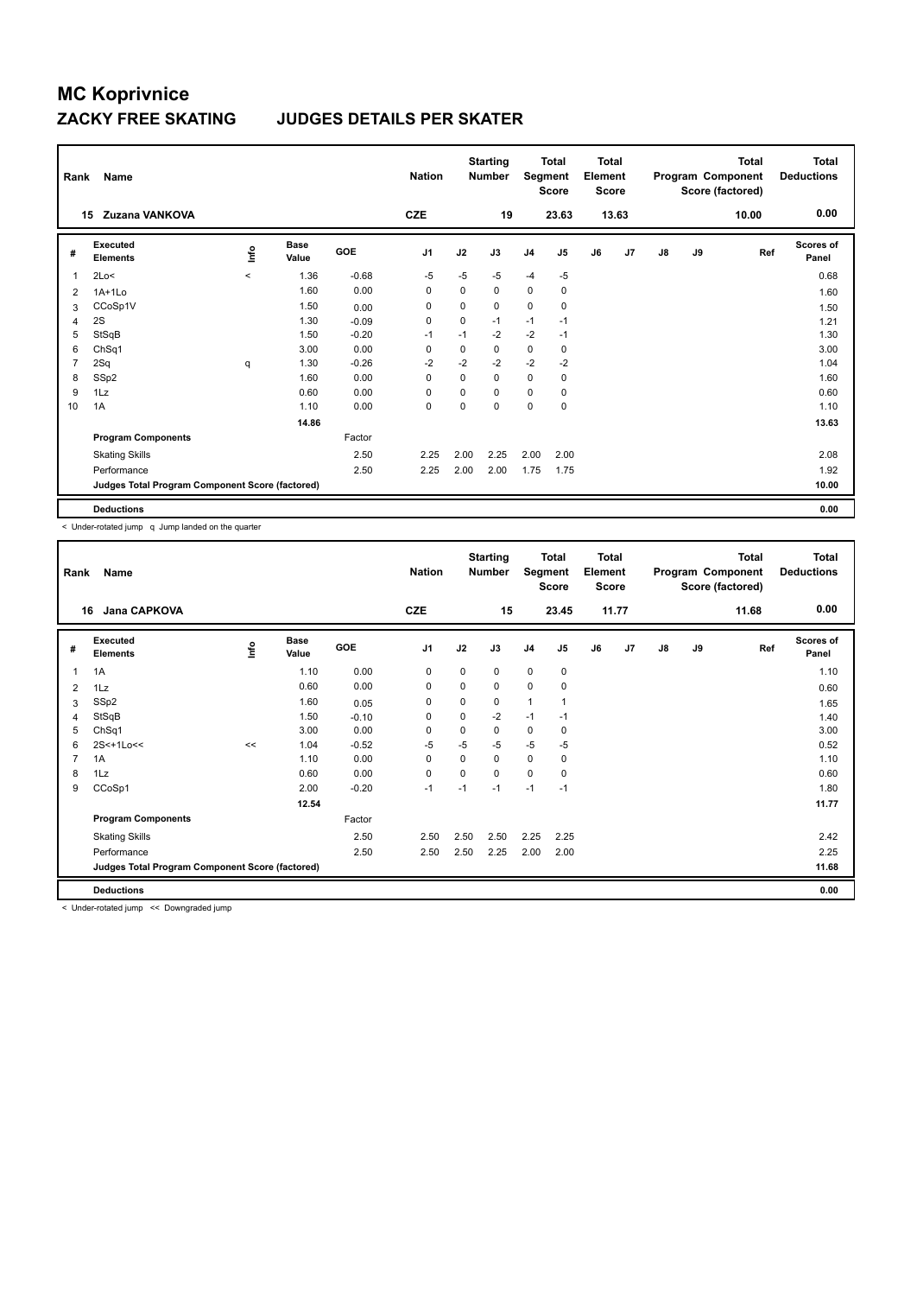#### **ZACKY FREE SKATING JUDGES DETAILS PER SKATER**

| Rank           | Name                                            |             |               |         | <b>Nation</b> |             | <b>Starting</b><br><b>Number</b> | Segment        | <b>Total</b><br><b>Score</b> | <b>Total</b><br>Element<br><b>Score</b> |       |               |    | Total<br>Program Component<br>Score (factored) | <b>Total</b><br><b>Deductions</b> |
|----------------|-------------------------------------------------|-------------|---------------|---------|---------------|-------------|----------------------------------|----------------|------------------------------|-----------------------------------------|-------|---------------|----|------------------------------------------------|-----------------------------------|
|                | Zuzana VANKOVA<br>15                            |             |               |         | <b>CZE</b>    |             | 19                               |                | 23.63                        |                                         | 13.63 |               |    | 10.00                                          | 0.00                              |
| #              | Executed<br><b>Elements</b>                     | <u>lnfo</u> | Base<br>Value | GOE     | J1            | J2          | J3                               | J <sub>4</sub> | J5                           | J6                                      | J7    | $\mathsf{J}8$ | J9 | Ref                                            | Scores of<br>Panel                |
| 1              | 2Lo<                                            | $\prec$     | 1.36          | $-0.68$ | -5            | $-5$        | $-5$                             | $-4$           | $-5$                         |                                         |       |               |    |                                                | 0.68                              |
| 2              | $1A+1Lo$                                        |             | 1.60          | 0.00    | 0             | 0           | 0                                | 0              | 0                            |                                         |       |               |    |                                                | 1.60                              |
| 3              | CCoSp1V                                         |             | 1.50          | 0.00    | 0             | $\mathbf 0$ | 0                                | $\mathbf 0$    | $\mathbf 0$                  |                                         |       |               |    |                                                | 1.50                              |
| $\overline{4}$ | 2S                                              |             | 1.30          | $-0.09$ | 0             | 0           | $-1$                             | $-1$           | $-1$                         |                                         |       |               |    |                                                | 1.21                              |
| 5              | StSqB                                           |             | 1.50          | $-0.20$ | $-1$          | $-1$        | $-2$                             | $-2$           | $-1$                         |                                         |       |               |    |                                                | 1.30                              |
| 6              | ChSq1                                           |             | 3.00          | 0.00    | 0             | 0           | 0                                | $\mathbf 0$    | 0                            |                                         |       |               |    |                                                | 3.00                              |
| $\overline{7}$ | 2Sq                                             | q           | 1.30          | $-0.26$ | $-2$          | $-2$        | $-2$                             | $-2$           | $-2$                         |                                         |       |               |    |                                                | 1.04                              |
| 8              | SSp2                                            |             | 1.60          | 0.00    | $\Omega$      | $\Omega$    | 0                                | $\mathbf 0$    | 0                            |                                         |       |               |    |                                                | 1.60                              |
| 9              | 1Lz                                             |             | 0.60          | 0.00    | 0             | $\Omega$    | 0                                | 0              | 0                            |                                         |       |               |    |                                                | 0.60                              |
| 10             | 1A                                              |             | 1.10          | 0.00    | $\mathbf 0$   | $\Omega$    | 0                                | $\mathbf 0$    | $\mathbf 0$                  |                                         |       |               |    |                                                | 1.10                              |
|                |                                                 |             | 14.86         |         |               |             |                                  |                |                              |                                         |       |               |    |                                                | 13.63                             |
|                | <b>Program Components</b>                       |             |               | Factor  |               |             |                                  |                |                              |                                         |       |               |    |                                                |                                   |
|                | <b>Skating Skills</b>                           |             |               | 2.50    | 2.25          | 2.00        | 2.25                             | 2.00           | 2.00                         |                                         |       |               |    |                                                | 2.08                              |
|                | Performance                                     |             |               | 2.50    | 2.25          | 2.00        | 2.00                             | 1.75           | 1.75                         |                                         |       |               |    |                                                | 1.92                              |
|                | Judges Total Program Component Score (factored) |             |               |         |               |             |                                  |                |                              |                                         |       |               |    |                                                | 10.00                             |
|                | <b>Deductions</b>                               |             |               |         |               |             |                                  |                |                              |                                         |       |               |    |                                                | 0.00                              |

< Under-rotated jump q Jump landed on the quarter

| Rank           | Name                                            |      |                      |         | <b>Nation</b> |             | <b>Starting</b><br><b>Number</b> | Segment        | <b>Total</b><br><b>Score</b> | <b>Total</b><br>Element<br><b>Score</b> |       |               |    | <b>Total</b><br>Program Component<br>Score (factored) | <b>Total</b><br><b>Deductions</b> |
|----------------|-------------------------------------------------|------|----------------------|---------|---------------|-------------|----------------------------------|----------------|------------------------------|-----------------------------------------|-------|---------------|----|-------------------------------------------------------|-----------------------------------|
| 16             | <b>Jana CAPKOVA</b>                             |      |                      |         | <b>CZE</b>    |             | 15                               |                | 23.45                        |                                         | 11.77 |               |    | 11.68                                                 | 0.00                              |
| #              | Executed<br><b>Elements</b>                     | ١nfo | <b>Base</b><br>Value | GOE     | J1            | J2          | J3                               | J <sub>4</sub> | J5                           | J6                                      | J7    | $\mathsf{J}8$ | J9 | Ref                                                   | <b>Scores of</b><br>Panel         |
| 1              | 1A                                              |      | 1.10                 | 0.00    | $\mathbf 0$   | 0           | 0                                | 0              | 0                            |                                         |       |               |    |                                                       | 1.10                              |
| 2              | 1Lz                                             |      | 0.60                 | 0.00    | $\mathbf 0$   | 0           | 0                                | 0              | 0                            |                                         |       |               |    |                                                       | 0.60                              |
| 3              | SSp2                                            |      | 1.60                 | 0.05    | $\mathbf 0$   | $\mathbf 0$ | 0                                | $\mathbf{1}$   | 1                            |                                         |       |               |    |                                                       | 1.65                              |
| 4              | StSqB                                           |      | 1.50                 | $-0.10$ | 0             | 0           | $-2$                             | $-1$           | $-1$                         |                                         |       |               |    |                                                       | 1.40                              |
| 5              | ChSq1                                           |      | 3.00                 | 0.00    | $\mathbf 0$   | 0           | 0                                | 0              | 0                            |                                         |       |               |    |                                                       | 3.00                              |
| 6              | 2S<+1Lo<<                                       | <<   | 1.04                 | $-0.52$ | $-5$          | $-5$        | $-5$                             | $-5$           | -5                           |                                         |       |               |    |                                                       | 0.52                              |
| $\overline{7}$ | 1A                                              |      | 1.10                 | 0.00    | 0             | 0           | 0                                | 0              | 0                            |                                         |       |               |    |                                                       | 1.10                              |
| 8              | 1Lz                                             |      | 0.60                 | 0.00    | $\mathbf 0$   | 0           | 0                                | 0              | 0                            |                                         |       |               |    |                                                       | 0.60                              |
| 9              | CCoSp1                                          |      | 2.00                 | $-0.20$ | $-1$          | $-1$        | $-1$                             | $-1$           | $-1$                         |                                         |       |               |    |                                                       | 1.80                              |
|                |                                                 |      | 12.54                |         |               |             |                                  |                |                              |                                         |       |               |    |                                                       | 11.77                             |
|                | <b>Program Components</b>                       |      |                      | Factor  |               |             |                                  |                |                              |                                         |       |               |    |                                                       |                                   |
|                | <b>Skating Skills</b>                           |      |                      | 2.50    | 2.50          | 2.50        | 2.50                             | 2.25           | 2.25                         |                                         |       |               |    |                                                       | 2.42                              |
|                | Performance                                     |      |                      | 2.50    | 2.50          | 2.50        | 2.25                             | 2.00           | 2.00                         |                                         |       |               |    |                                                       | 2.25                              |
|                | Judges Total Program Component Score (factored) |      |                      |         |               |             |                                  |                |                              |                                         |       |               |    |                                                       | 11.68                             |
|                | <b>Deductions</b>                               |      |                      |         |               |             |                                  |                |                              |                                         |       |               |    |                                                       | 0.00                              |

< Under-rotated jump << Downgraded jump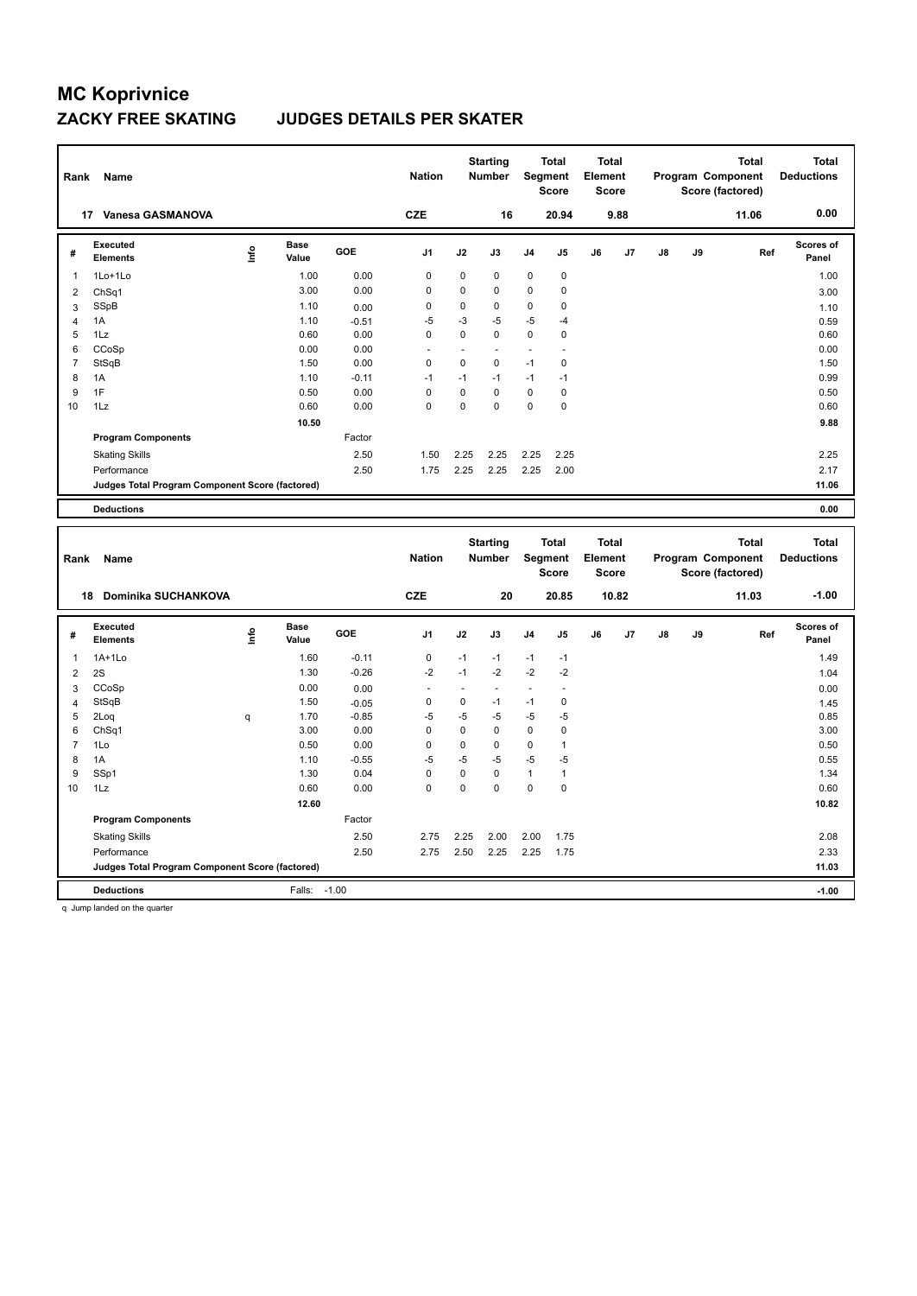### **ZACKY FREE SKATING JUDGES DETAILS PER SKATER**

| Rank           | Name                                            |      |                      |            | <b>Nation</b>  |             | <b>Starting</b><br><b>Number</b> | Segment                  | <b>Total</b><br><b>Score</b> | <b>Total</b><br>Element<br><b>Score</b> |                |    |    | <b>Total</b><br>Program Component<br>Score (factored) | <b>Total</b><br><b>Deductions</b> |
|----------------|-------------------------------------------------|------|----------------------|------------|----------------|-------------|----------------------------------|--------------------------|------------------------------|-----------------------------------------|----------------|----|----|-------------------------------------------------------|-----------------------------------|
| 17             | Vanesa GASMANOVA                                |      |                      |            | <b>CZE</b>     |             | 16                               |                          | 20.94                        |                                         | 9.88           |    |    | 11.06                                                 | 0.00                              |
| #              | Executed<br><b>Elements</b>                     | lnfo | <b>Base</b><br>Value | <b>GOE</b> | J <sub>1</sub> | J2          | J3                               | J <sub>4</sub>           | J <sub>5</sub>               | J6                                      | J <sub>7</sub> | J8 | J9 | Ref                                                   | <b>Scores of</b><br>Panel         |
| $\mathbf{1}$   | 1Lo+1Lo                                         |      | 1.00                 | 0.00       | 0              | 0           | 0                                | $\mathbf 0$              | $\pmb{0}$                    |                                         |                |    |    |                                                       | 1.00                              |
| 2              | ChSq1                                           |      | 3.00                 | 0.00       | 0              | 0           | 0                                | 0                        | $\mathbf 0$                  |                                         |                |    |    |                                                       | 3.00                              |
| 3              | SSpB                                            |      | 1.10                 | 0.00       | 0              | 0           | 0                                | 0                        | $\mathbf 0$                  |                                         |                |    |    |                                                       | 1.10                              |
| 4              | 1A                                              |      | 1.10                 | $-0.51$    | $-5$           | $-3$        | $-5$                             | $-5$                     | -4                           |                                         |                |    |    |                                                       | 0.59                              |
| 5              | 1Lz                                             |      | 0.60                 | 0.00       | 0              | $\mathbf 0$ | 0                                | 0                        | 0                            |                                         |                |    |    |                                                       | 0.60                              |
| 6              | CCoSp                                           |      | 0.00                 | 0.00       | ۰              | ٠           |                                  | $\overline{\phantom{0}}$ | ٠                            |                                         |                |    |    |                                                       | 0.00                              |
| $\overline{7}$ | StSqB                                           |      | 1.50                 | 0.00       | $\mathbf 0$    | $\mathbf 0$ | $\mathbf 0$                      | $-1$                     | 0                            |                                         |                |    |    |                                                       | 1.50                              |
| 8              | 1A                                              |      | 1.10                 | $-0.11$    | $-1$           | $-1$        | $-1$                             | $-1$                     | $-1$                         |                                         |                |    |    |                                                       | 0.99                              |
| 9              | 1F                                              |      | 0.50                 | 0.00       | 0              | 0           | $\Omega$                         | 0                        | 0                            |                                         |                |    |    |                                                       | 0.50                              |
| 10             | 1Lz                                             |      | 0.60                 | 0.00       | 0              | 0           | 0                                | 0                        | $\mathbf 0$                  |                                         |                |    |    |                                                       | 0.60                              |
|                |                                                 |      | 10.50                |            |                |             |                                  |                          |                              |                                         |                |    |    |                                                       | 9.88                              |
|                | <b>Program Components</b>                       |      |                      | Factor     |                |             |                                  |                          |                              |                                         |                |    |    |                                                       |                                   |
|                | <b>Skating Skills</b>                           |      |                      | 2.50       | 1.50           | 2.25        | 2.25                             | 2.25                     | 2.25                         |                                         |                |    |    |                                                       | 2.25                              |
|                | Performance                                     |      |                      | 2.50       | 1.75           | 2.25        | 2.25                             | 2.25                     | 2.00                         |                                         |                |    |    |                                                       | 2.17                              |
|                | Judges Total Program Component Score (factored) |      |                      |            |                |             |                                  |                          |                              |                                         |                |    |    |                                                       | 11.06                             |
|                | <b>Deductions</b>                               |      |                      |            |                |             |                                  |                          |                              |                                         |                |    |    |                                                       | 0.00                              |

| Rank           | Name                                             |      |                      |            | <b>Nation</b>            |      | <b>Starting</b><br><b>Number</b> | Segment        | <b>Total</b><br><b>Score</b> | <b>Total</b><br>Element<br><b>Score</b> |       |    |    | <b>Total</b><br>Program Component<br>Score (factored) | <b>Total</b><br><b>Deductions</b> |
|----------------|--------------------------------------------------|------|----------------------|------------|--------------------------|------|----------------------------------|----------------|------------------------------|-----------------------------------------|-------|----|----|-------------------------------------------------------|-----------------------------------|
|                | <b>Dominika SUCHANKOVA</b><br>18                 |      |                      |            | <b>CZE</b>               |      | 20                               |                | 20.85                        |                                         | 10.82 |    |    | 11.03                                                 | $-1.00$                           |
| #              | Executed<br><b>Elements</b>                      | ١nfo | <b>Base</b><br>Value | <b>GOE</b> | J <sub>1</sub>           | J2   | J3                               | J <sub>4</sub> | J <sub>5</sub>               | J6                                      | J7    | J8 | J9 | Ref                                                   | <b>Scores of</b><br>Panel         |
| 1              | $1A+1L0$                                         |      | 1.60                 | $-0.11$    | 0                        | $-1$ | $-1$                             | $-1$           | $-1$                         |                                         |       |    |    |                                                       | 1.49                              |
| $\overline{2}$ | 2S                                               |      | 1.30                 | $-0.26$    | $-2$                     | $-1$ | $-2$                             | $-2$           | $-2$                         |                                         |       |    |    |                                                       | 1.04                              |
| 3              | CCoSp                                            |      | 0.00                 | 0.00       | $\overline{\phantom{a}}$ |      | $\overline{a}$                   |                |                              |                                         |       |    |    |                                                       | 0.00                              |
| $\overline{4}$ | StSqB                                            |      | 1.50                 | $-0.05$    | 0                        | 0    | $-1$                             | $-1$           | 0                            |                                         |       |    |    |                                                       | 1.45                              |
| 5              | 2Log                                             | q    | 1.70                 | $-0.85$    | -5                       | $-5$ | $-5$                             | $-5$           | $-5$                         |                                         |       |    |    |                                                       | 0.85                              |
| 6              | ChSq1                                            |      | 3.00                 | 0.00       | 0                        | 0    | $\mathbf 0$                      | $\mathbf 0$    | 0                            |                                         |       |    |    |                                                       | 3.00                              |
| $\overline{7}$ | 1Lo                                              |      | 0.50                 | 0.00       | 0                        | 0    | 0                                | $\mathbf 0$    | $\overline{1}$               |                                         |       |    |    |                                                       | 0.50                              |
| 8              | 1A                                               |      | 1.10                 | $-0.55$    | $-5$                     | $-5$ | $-5$                             | $-5$           | $-5$                         |                                         |       |    |    |                                                       | 0.55                              |
| 9              | SSp1                                             |      | 1.30                 | 0.04       | 0                        | 0    | $\mathbf 0$                      | $\mathbf{1}$   | 1                            |                                         |       |    |    |                                                       | 1.34                              |
| 10             | 1Lz                                              |      | 0.60                 | 0.00       | 0                        | 0    | $\Omega$                         | 0              | 0                            |                                         |       |    |    |                                                       | 0.60                              |
|                |                                                  |      | 12.60                |            |                          |      |                                  |                |                              |                                         |       |    |    |                                                       | 10.82                             |
|                | <b>Program Components</b>                        |      |                      | Factor     |                          |      |                                  |                |                              |                                         |       |    |    |                                                       |                                   |
|                | <b>Skating Skills</b>                            |      |                      | 2.50       | 2.75                     | 2.25 | 2.00                             | 2.00           | 1.75                         |                                         |       |    |    |                                                       | 2.08                              |
|                | Performance                                      |      |                      | 2.50       | 2.75                     | 2.50 | 2.25                             | 2.25           | 1.75                         |                                         |       |    |    |                                                       | 2.33                              |
|                | Judges Total Program Component Score (factored)  |      |                      |            |                          |      |                                  |                |                              |                                         |       |    |    |                                                       | 11.03                             |
|                | <b>Deductions</b>                                |      | Falls:               | $-1.00$    |                          |      |                                  |                |                              |                                         |       |    |    |                                                       | $-1.00$                           |
|                | the changes there should not also a procedure of |      |                      |            |                          |      |                                  |                |                              |                                         |       |    |    |                                                       |                                   |

q Jump landed on the quarter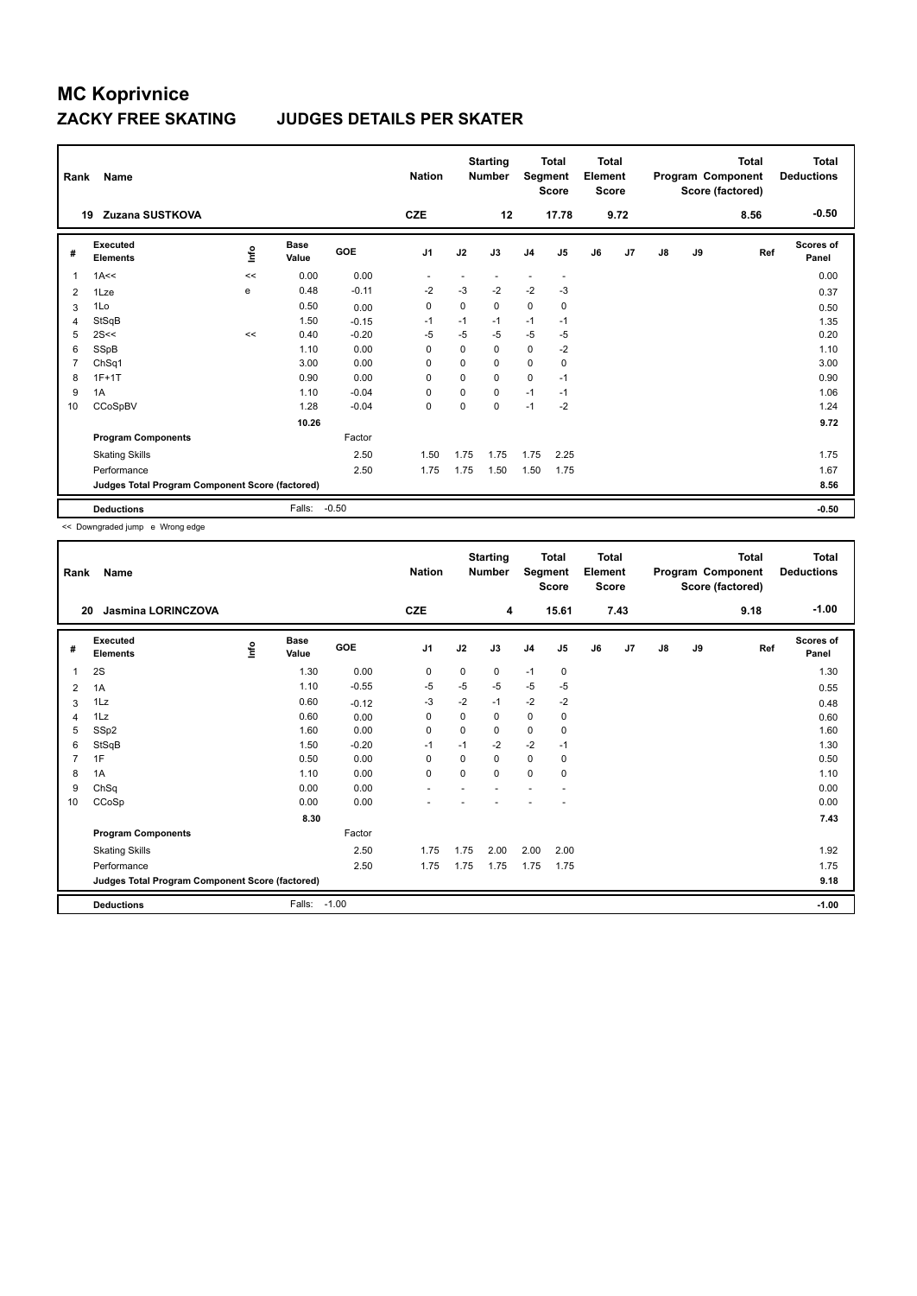### **ZACKY FREE SKATING JUDGES DETAILS PER SKATER**

| Rank         | Name                                            |             |               |         | <b>Nation</b>  |          | <b>Starting</b><br><b>Number</b> | Segment        | <b>Total</b><br>Score    | <b>Total</b><br>Element<br><b>Score</b> |      |               |    | Total<br>Program Component<br>Score (factored) | <b>Total</b><br><b>Deductions</b> |
|--------------|-------------------------------------------------|-------------|---------------|---------|----------------|----------|----------------------------------|----------------|--------------------------|-----------------------------------------|------|---------------|----|------------------------------------------------|-----------------------------------|
| 19           | Zuzana SUSTKOVA                                 |             |               |         | <b>CZE</b>     |          | 12                               |                | 17.78                    |                                         | 9.72 |               |    | 8.56                                           | $-0.50$                           |
| #            | Executed<br><b>Elements</b>                     | <u>lnfo</u> | Base<br>Value | GOE     | J <sub>1</sub> | J2       | J3                               | J <sub>4</sub> | J5                       | J6                                      | J7   | $\mathsf{J}8$ | J9 | Ref                                            | Scores of<br>Panel                |
| $\mathbf{1}$ | 1A<<                                            | <<          | 0.00          | 0.00    |                |          |                                  |                | $\overline{\phantom{a}}$ |                                         |      |               |    |                                                | 0.00                              |
| 2            | 1Lze                                            | e           | 0.48          | $-0.11$ | $-2$           | $-3$     | $-2$                             | $-2$           | $-3$                     |                                         |      |               |    |                                                | 0.37                              |
| 3            | 1Lo                                             |             | 0.50          | 0.00    | 0              | $\Omega$ | 0                                | 0              | 0                        |                                         |      |               |    |                                                | 0.50                              |
| 4            | StSqB                                           |             | 1.50          | $-0.15$ | $-1$           | $-1$     | $-1$                             | $-1$           | $-1$                     |                                         |      |               |    |                                                | 1.35                              |
| 5            | 2S<<                                            | <<          | 0.40          | $-0.20$ | $-5$           | $-5$     | $-5$                             | $-5$           | $-5$                     |                                         |      |               |    |                                                | 0.20                              |
| 6            | SSpB                                            |             | 1.10          | 0.00    | $\Omega$       | $\Omega$ | $\Omega$                         | $\mathbf 0$    | $-2$                     |                                         |      |               |    |                                                | 1.10                              |
| 7            | ChSq1                                           |             | 3.00          | 0.00    | 0              | $\Omega$ | $\Omega$                         | $\mathbf 0$    | 0                        |                                         |      |               |    |                                                | 3.00                              |
| 8            | $1F+1T$                                         |             | 0.90          | 0.00    | $\mathbf 0$    | $\Omega$ | 0                                | $\mathbf 0$    | $-1$                     |                                         |      |               |    |                                                | 0.90                              |
| 9            | 1A                                              |             | 1.10          | $-0.04$ | 0              | 0        | 0                                | $-1$           | $-1$                     |                                         |      |               |    |                                                | 1.06                              |
| 10           | CCoSpBV                                         |             | 1.28          | $-0.04$ | $\mathbf 0$    | $\Omega$ | 0                                | $-1$           | $-2$                     |                                         |      |               |    |                                                | 1.24                              |
|              |                                                 |             | 10.26         |         |                |          |                                  |                |                          |                                         |      |               |    |                                                | 9.72                              |
|              | <b>Program Components</b>                       |             |               | Factor  |                |          |                                  |                |                          |                                         |      |               |    |                                                |                                   |
|              | <b>Skating Skills</b>                           |             |               | 2.50    | 1.50           | 1.75     | 1.75                             | 1.75           | 2.25                     |                                         |      |               |    |                                                | 1.75                              |
|              | Performance                                     |             |               | 2.50    | 1.75           | 1.75     | 1.50                             | 1.50           | 1.75                     |                                         |      |               |    |                                                | 1.67                              |
|              | Judges Total Program Component Score (factored) |             |               |         |                |          |                                  |                |                          |                                         |      |               |    |                                                | 8.56                              |
|              | <b>Deductions</b>                               |             | Falls:        | $-0.50$ |                |          |                                  |                |                          |                                         |      |               |    |                                                | $-0.50$                           |

<< Downgraded jump e Wrong edge

| Rank           | Name                                            |      |                      |         | <b>Nation</b>  |          | <b>Starting</b><br><b>Number</b> | Segment        | <b>Total</b><br><b>Score</b> | <b>Total</b><br>Element<br><b>Score</b> |      |               |    | Total<br>Program Component<br>Score (factored) | <b>Total</b><br><b>Deductions</b> |
|----------------|-------------------------------------------------|------|----------------------|---------|----------------|----------|----------------------------------|----------------|------------------------------|-----------------------------------------|------|---------------|----|------------------------------------------------|-----------------------------------|
| 20             | <b>Jasmina LORINCZOVA</b>                       |      |                      |         | <b>CZE</b>     |          | 4                                |                | 15.61                        |                                         | 7.43 |               |    | 9.18                                           | $-1.00$                           |
| #              | Executed<br><b>Elements</b>                     | ١nfo | <b>Base</b><br>Value | GOE     | J <sub>1</sub> | J2       | J3                               | J <sub>4</sub> | J <sub>5</sub>               | J6                                      | J7   | $\mathsf{J}8$ | J9 | Ref                                            | <b>Scores of</b><br>Panel         |
| $\mathbf 1$    | 2S                                              |      | 1.30                 | 0.00    | 0              | 0        | 0                                | $-1$           | 0                            |                                         |      |               |    |                                                | 1.30                              |
| 2              | 1A                                              |      | 1.10                 | $-0.55$ | -5             | -5       | $-5$                             | $-5$           | $-5$                         |                                         |      |               |    |                                                | 0.55                              |
| 3              | 1Lz                                             |      | 0.60                 | $-0.12$ | $-3$           | $-2$     | $-1$                             | $-2$           | $-2$                         |                                         |      |               |    |                                                | 0.48                              |
| 4              | 1Lz                                             |      | 0.60                 | 0.00    | $\Omega$       | $\Omega$ | 0                                | 0              | 0                            |                                         |      |               |    |                                                | 0.60                              |
| 5              | SSp2                                            |      | 1.60                 | 0.00    | $\Omega$       | 0        | 0                                | 0              | 0                            |                                         |      |               |    |                                                | 1.60                              |
| 6              | StSqB                                           |      | 1.50                 | $-0.20$ | $-1$           | $-1$     | $-2$                             | $-2$           | $-1$                         |                                         |      |               |    |                                                | 1.30                              |
| $\overline{7}$ | 1F                                              |      | 0.50                 | 0.00    | $\Omega$       | $\Omega$ | 0                                | 0              | $\mathbf 0$                  |                                         |      |               |    |                                                | 0.50                              |
| 8              | 1A                                              |      | 1.10                 | 0.00    | $\mathbf 0$    | 0        | 0                                | 0              | 0                            |                                         |      |               |    |                                                | 1.10                              |
| 9              | ChSq                                            |      | 0.00                 | 0.00    |                |          |                                  |                |                              |                                         |      |               |    |                                                | 0.00                              |
| 10             | CCoSp                                           |      | 0.00                 | 0.00    |                |          |                                  |                |                              |                                         |      |               |    |                                                | 0.00                              |
|                |                                                 |      | 8.30                 |         |                |          |                                  |                |                              |                                         |      |               |    |                                                | 7.43                              |
|                | <b>Program Components</b>                       |      |                      | Factor  |                |          |                                  |                |                              |                                         |      |               |    |                                                |                                   |
|                | <b>Skating Skills</b>                           |      |                      | 2.50    | 1.75           | 1.75     | 2.00                             | 2.00           | 2.00                         |                                         |      |               |    |                                                | 1.92                              |
|                | Performance                                     |      |                      | 2.50    | 1.75           | 1.75     | 1.75                             | 1.75           | 1.75                         |                                         |      |               |    |                                                | 1.75                              |
|                | Judges Total Program Component Score (factored) |      |                      |         |                |          |                                  |                |                              |                                         |      |               |    |                                                | 9.18                              |
|                | <b>Deductions</b>                               |      | Falls:               | $-1.00$ |                |          |                                  |                |                              |                                         |      |               |    |                                                | $-1.00$                           |